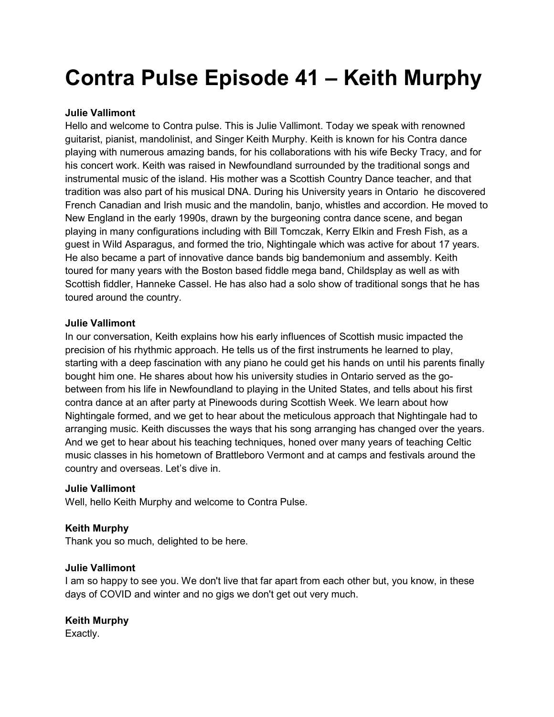# Contra Pulse Episode 41 – Keith Murphy

## Julie Vallimont

Hello and welcome to Contra pulse. This is Julie Vallimont. Today we speak with renowned guitarist, pianist, mandolinist, and Singer Keith Murphy. Keith is known for his Contra dance playing with numerous amazing bands, for his collaborations with his wife Becky Tracy, and for his concert work. Keith was raised in Newfoundland surrounded by the traditional songs and instrumental music of the island. His mother was a Scottish Country Dance teacher, and that tradition was also part of his musical DNA. During his University years in Ontario he discovered French Canadian and Irish music and the mandolin, banjo, whistles and accordion. He moved to New England in the early 1990s, drawn by the burgeoning contra dance scene, and began playing in many configurations including with Bill Tomczak, Kerry Elkin and Fresh Fish, as a guest in Wild Asparagus, and formed the trio, Nightingale which was active for about 17 years. He also became a part of innovative dance bands big bandemonium and assembly. Keith toured for many years with the Boston based fiddle mega band, Childsplay as well as with Scottish fiddler, Hanneke Cassel. He has also had a solo show of traditional songs that he has toured around the country.

#### Julie Vallimont

In our conversation, Keith explains how his early influences of Scottish music impacted the precision of his rhythmic approach. He tells us of the first instruments he learned to play, starting with a deep fascination with any piano he could get his hands on until his parents finally bought him one. He shares about how his university studies in Ontario served as the gobetween from his life in Newfoundland to playing in the United States, and tells about his first contra dance at an after party at Pinewoods during Scottish Week. We learn about how Nightingale formed, and we get to hear about the meticulous approach that Nightingale had to arranging music. Keith discusses the ways that his song arranging has changed over the years. And we get to hear about his teaching techniques, honed over many years of teaching Celtic music classes in his hometown of Brattleboro Vermont and at camps and festivals around the country and overseas. Let's dive in.

#### Julie Vallimont

Well, hello Keith Murphy and welcome to Contra Pulse.

## Keith Murphy

Thank you so much, delighted to be here.

#### Julie Vallimont

I am so happy to see you. We don't live that far apart from each other but, you know, in these days of COVID and winter and no gigs we don't get out very much.

## Keith Murphy

Exactly.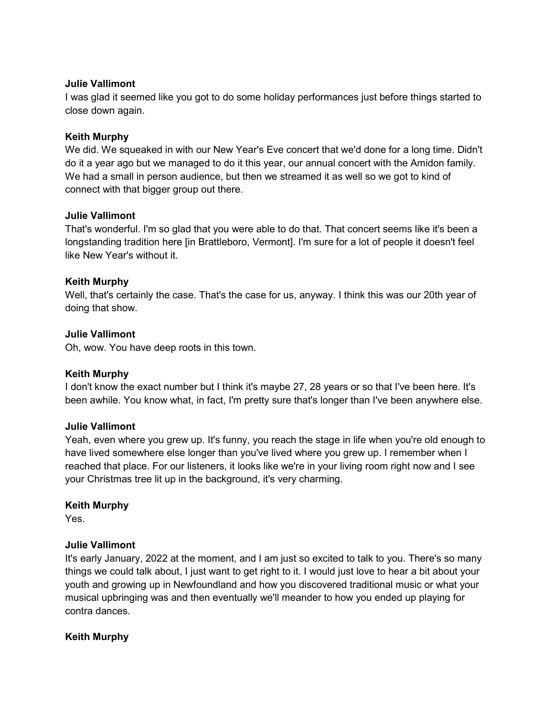#### Julie Vallimont

I was glad it seemed like you got to do some holiday performances just before things started to close down again.

#### Keith Murphy

We did. We squeaked in with our New Year's Eve concert that we'd done for a long time. Didn't do it a year ago but we managed to do it this year, our annual concert with the Amidon family. We had a small in person audience, but then we streamed it as well so we got to kind of connect with that bigger group out there.

#### Julie Vallimont

That's wonderful. I'm so glad that you were able to do that. That concert seems like it's been a longstanding tradition here [in Brattleboro, Vermont]. I'm sure for a lot of people it doesn't feel like New Year's without it.

#### Keith Murphy

Well, that's certainly the case. That's the case for us, anyway. I think this was our 20th year of doing that show.

#### Julie Vallimont

Oh, wow. You have deep roots in this town.

#### Keith Murphy

I don't know the exact number but I think it's maybe 27, 28 years or so that I've been here. It's been awhile. You know what, in fact, I'm pretty sure that's longer than I've been anywhere else.

#### Julie Vallimont

Yeah, even where you grew up. It's funny, you reach the stage in life when you're old enough to have lived somewhere else longer than you've lived where you grew up. I remember when I reached that place. For our listeners, it looks like we're in your living room right now and I see your Christmas tree lit up in the background, it's very charming.

#### Keith Murphy

Yes.

#### Julie Vallimont

It's early January, 2022 at the moment, and I am just so excited to talk to you. There's so many things we could talk about, I just want to get right to it. I would just love to hear a bit about your youth and growing up in Newfoundland and how you discovered traditional music or what your musical upbringing was and then eventually we'll meander to how you ended up playing for contra dances.

#### Keith Murphy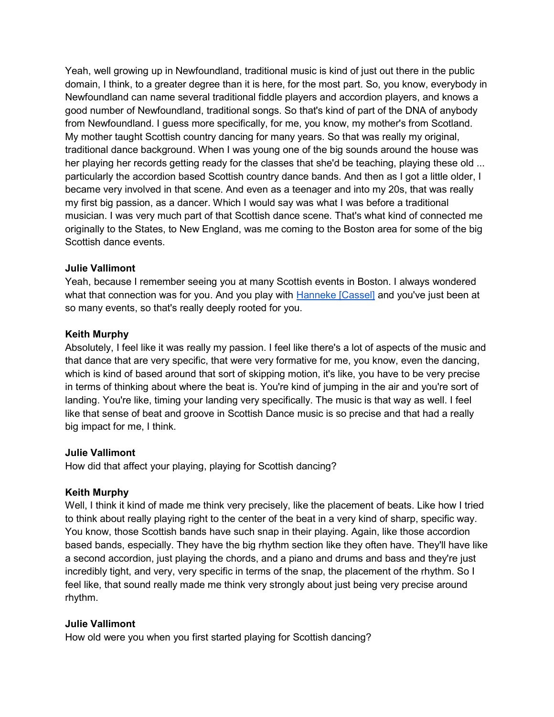Yeah, well growing up in Newfoundland, traditional music is kind of just out there in the public domain, I think, to a greater degree than it is here, for the most part. So, you know, everybody in Newfoundland can name several traditional fiddle players and accordion players, and knows a good number of Newfoundland, traditional songs. So that's kind of part of the DNA of anybody from Newfoundland. I guess more specifically, for me, you know, my mother's from Scotland. My mother taught Scottish country dancing for many years. So that was really my original, traditional dance background. When I was young one of the big sounds around the house was her playing her records getting ready for the classes that she'd be teaching, playing these old ... particularly the accordion based Scottish country dance bands. And then as I got a little older, I became very involved in that scene. And even as a teenager and into my 20s, that was really my first big passion, as a dancer. Which I would say was what I was before a traditional musician. I was very much part of that Scottish dance scene. That's what kind of connected me originally to the States, to New England, was me coming to the Boston area for some of the big Scottish dance events.

#### Julie Vallimont

Yeah, because I remember seeing you at many Scottish events in Boston. I always wondered what that connection was for you. And you play with Hanneke [Cassel] and you've just been at so many events, so that's really deeply rooted for you.

#### Keith Murphy

Absolutely, I feel like it was really my passion. I feel like there's a lot of aspects of the music and that dance that are very specific, that were very formative for me, you know, even the dancing, which is kind of based around that sort of skipping motion, it's like, you have to be very precise in terms of thinking about where the beat is. You're kind of jumping in the air and you're sort of landing. You're like, timing your landing very specifically. The music is that way as well. I feel like that sense of beat and groove in Scottish Dance music is so precise and that had a really big impact for me, I think.

#### Julie Vallimont

How did that affect your playing, playing for Scottish dancing?

#### Keith Murphy

Well, I think it kind of made me think very precisely, like the placement of beats. Like how I tried to think about really playing right to the center of the beat in a very kind of sharp, specific way. You know, those Scottish bands have such snap in their playing. Again, like those accordion based bands, especially. They have the big rhythm section like they often have. They'll have like a second accordion, just playing the chords, and a piano and drums and bass and they're just incredibly tight, and very, very specific in terms of the snap, the placement of the rhythm. So I feel like, that sound really made me think very strongly about just being very precise around rhythm.

#### Julie Vallimont

How old were you when you first started playing for Scottish dancing?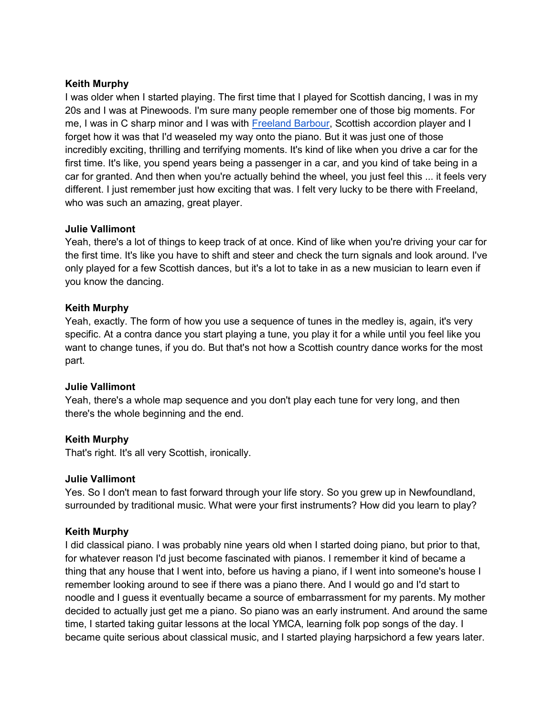## Keith Murphy

I was older when I started playing. The first time that I played for Scottish dancing, I was in my 20s and I was at Pinewoods. I'm sure many people remember one of those big moments. For me, I was in C sharp minor and I was with Freeland Barbour, Scottish accordion player and I forget how it was that I'd weaseled my way onto the piano. But it was just one of those incredibly exciting, thrilling and terrifying moments. It's kind of like when you drive a car for the first time. It's like, you spend years being a passenger in a car, and you kind of take being in a car for granted. And then when you're actually behind the wheel, you just feel this ... it feels very different. I just remember just how exciting that was. I felt very lucky to be there with Freeland, who was such an amazing, great player.

#### Julie Vallimont

Yeah, there's a lot of things to keep track of at once. Kind of like when you're driving your car for the first time. It's like you have to shift and steer and check the turn signals and look around. I've only played for a few Scottish dances, but it's a lot to take in as a new musician to learn even if you know the dancing.

#### Keith Murphy

Yeah, exactly. The form of how you use a sequence of tunes in the medley is, again, it's very specific. At a contra dance you start playing a tune, you play it for a while until you feel like you want to change tunes, if you do. But that's not how a Scottish country dance works for the most part.

#### Julie Vallimont

Yeah, there's a whole map sequence and you don't play each tune for very long, and then there's the whole beginning and the end.

#### Keith Murphy

That's right. It's all very Scottish, ironically.

#### Julie Vallimont

Yes. So I don't mean to fast forward through your life story. So you grew up in Newfoundland, surrounded by traditional music. What were your first instruments? How did you learn to play?

#### Keith Murphy

I did classical piano. I was probably nine years old when I started doing piano, but prior to that, for whatever reason I'd just become fascinated with pianos. I remember it kind of became a thing that any house that I went into, before us having a piano, if I went into someone's house I remember looking around to see if there was a piano there. And I would go and I'd start to noodle and I guess it eventually became a source of embarrassment for my parents. My mother decided to actually just get me a piano. So piano was an early instrument. And around the same time, I started taking guitar lessons at the local YMCA, learning folk pop songs of the day. I became quite serious about classical music, and I started playing harpsichord a few years later.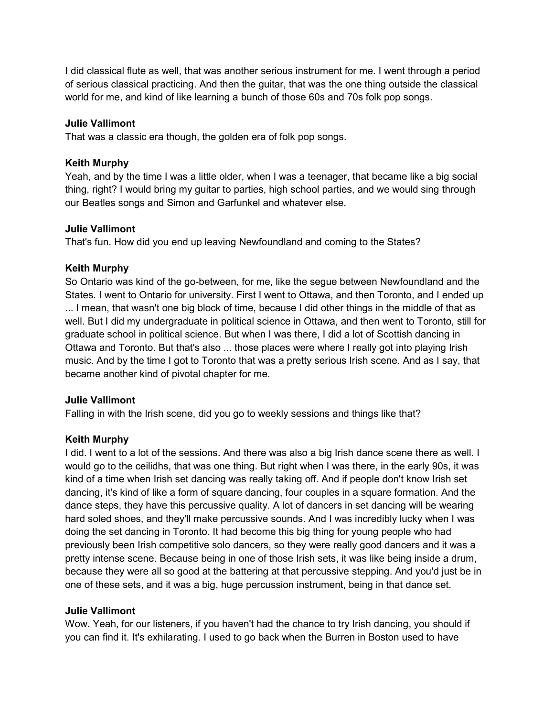I did classical flute as well, that was another serious instrument for me. I went through a period of serious classical practicing. And then the guitar, that was the one thing outside the classical world for me, and kind of like learning a bunch of those 60s and 70s folk pop songs.

#### Julie Vallimont

That was a classic era though, the golden era of folk pop songs.

#### Keith Murphy

Yeah, and by the time I was a little older, when I was a teenager, that became like a big social thing, right? I would bring my guitar to parties, high school parties, and we would sing through our Beatles songs and Simon and Garfunkel and whatever else.

#### Julie Vallimont

That's fun. How did you end up leaving Newfoundland and coming to the States?

#### Keith Murphy

So Ontario was kind of the go-between, for me, like the segue between Newfoundland and the States. I went to Ontario for university. First I went to Ottawa, and then Toronto, and I ended up ... I mean, that wasn't one big block of time, because I did other things in the middle of that as well. But I did my undergraduate in political science in Ottawa, and then went to Toronto, still for graduate school in political science. But when I was there, I did a lot of Scottish dancing in Ottawa and Toronto. But that's also ... those places were where I really got into playing Irish music. And by the time I got to Toronto that was a pretty serious Irish scene. And as I say, that became another kind of pivotal chapter for me.

#### Julie Vallimont

Falling in with the Irish scene, did you go to weekly sessions and things like that?

#### Keith Murphy

I did. I went to a lot of the sessions. And there was also a big Irish dance scene there as well. I would go to the ceilidhs, that was one thing. But right when I was there, in the early 90s, it was kind of a time when Irish set dancing was really taking off. And if people don't know Irish set dancing, it's kind of like a form of square dancing, four couples in a square formation. And the dance steps, they have this percussive quality. A lot of dancers in set dancing will be wearing hard soled shoes, and they'll make percussive sounds. And I was incredibly lucky when I was doing the set dancing in Toronto. It had become this big thing for young people who had previously been Irish competitive solo dancers, so they were really good dancers and it was a pretty intense scene. Because being in one of those Irish sets, it was like being inside a drum, because they were all so good at the battering at that percussive stepping. And you'd just be in one of these sets, and it was a big, huge percussion instrument, being in that dance set.

#### Julie Vallimont

Wow. Yeah, for our listeners, if you haven't had the chance to try Irish dancing, you should if you can find it. It's exhilarating. I used to go back when the Burren in Boston used to have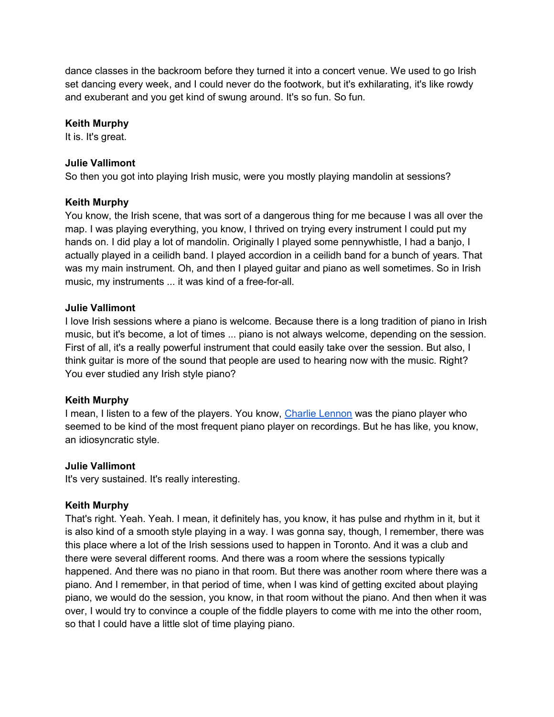dance classes in the backroom before they turned it into a concert venue. We used to go Irish set dancing every week, and I could never do the footwork, but it's exhilarating, it's like rowdy and exuberant and you get kind of swung around. It's so fun. So fun.

## Keith Murphy

It is. It's great.

#### Julie Vallimont

So then you got into playing Irish music, were you mostly playing mandolin at sessions?

#### Keith Murphy

You know, the Irish scene, that was sort of a dangerous thing for me because I was all over the map. I was playing everything, you know, I thrived on trying every instrument I could put my hands on. I did play a lot of mandolin. Originally I played some pennywhistle, I had a banjo, I actually played in a ceilidh band. I played accordion in a ceilidh band for a bunch of years. That was my main instrument. Oh, and then I played guitar and piano as well sometimes. So in Irish music, my instruments ... it was kind of a free-for-all.

#### Julie Vallimont

I love Irish sessions where a piano is welcome. Because there is a long tradition of piano in Irish music, but it's become, a lot of times ... piano is not always welcome, depending on the session. First of all, it's a really powerful instrument that could easily take over the session. But also, I think guitar is more of the sound that people are used to hearing now with the music. Right? You ever studied any Irish style piano?

#### Keith Murphy

I mean, I listen to a few of the players. You know, Charlie Lennon was the piano player who seemed to be kind of the most frequent piano player on recordings. But he has like, you know, an idiosyncratic style.

#### Julie Vallimont

It's very sustained. It's really interesting.

#### Keith Murphy

That's right. Yeah. Yeah. I mean, it definitely has, you know, it has pulse and rhythm in it, but it is also kind of a smooth style playing in a way. I was gonna say, though, I remember, there was this place where a lot of the Irish sessions used to happen in Toronto. And it was a club and there were several different rooms. And there was a room where the sessions typically happened. And there was no piano in that room. But there was another room where there was a piano. And I remember, in that period of time, when I was kind of getting excited about playing piano, we would do the session, you know, in that room without the piano. And then when it was over, I would try to convince a couple of the fiddle players to come with me into the other room, so that I could have a little slot of time playing piano.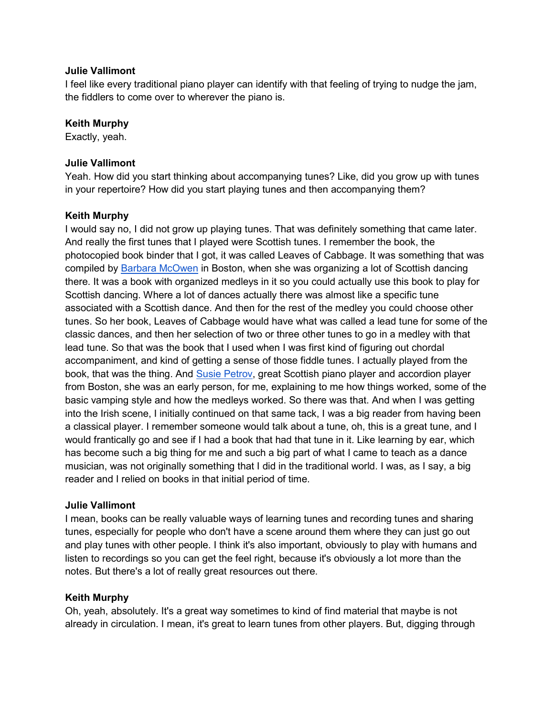#### Julie Vallimont

I feel like every traditional piano player can identify with that feeling of trying to nudge the jam, the fiddlers to come over to wherever the piano is.

#### Keith Murphy

Exactly, yeah.

#### Julie Vallimont

Yeah. How did you start thinking about accompanying tunes? Like, did you grow up with tunes in your repertoire? How did you start playing tunes and then accompanying them?

## Keith Murphy

I would say no, I did not grow up playing tunes. That was definitely something that came later. And really the first tunes that I played were Scottish tunes. I remember the book, the photocopied book binder that I got, it was called Leaves of Cabbage. It was something that was compiled by Barbara McOwen in Boston, when she was organizing a lot of Scottish dancing there. It was a book with organized medleys in it so you could actually use this book to play for Scottish dancing. Where a lot of dances actually there was almost like a specific tune associated with a Scottish dance. And then for the rest of the medley you could choose other tunes. So her book, Leaves of Cabbage would have what was called a lead tune for some of the classic dances, and then her selection of two or three other tunes to go in a medley with that lead tune. So that was the book that I used when I was first kind of figuring out chordal accompaniment, and kind of getting a sense of those fiddle tunes. I actually played from the book, that was the thing. And Susie Petrov, great Scottish piano player and accordion player from Boston, she was an early person, for me, explaining to me how things worked, some of the basic vamping style and how the medleys worked. So there was that. And when I was getting into the Irish scene, I initially continued on that same tack, I was a big reader from having been a classical player. I remember someone would talk about a tune, oh, this is a great tune, and I would frantically go and see if I had a book that had that tune in it. Like learning by ear, which has become such a big thing for me and such a big part of what I came to teach as a dance musician, was not originally something that I did in the traditional world. I was, as I say, a big reader and I relied on books in that initial period of time.

#### Julie Vallimont

I mean, books can be really valuable ways of learning tunes and recording tunes and sharing tunes, especially for people who don't have a scene around them where they can just go out and play tunes with other people. I think it's also important, obviously to play with humans and listen to recordings so you can get the feel right, because it's obviously a lot more than the notes. But there's a lot of really great resources out there.

#### Keith Murphy

Oh, yeah, absolutely. It's a great way sometimes to kind of find material that maybe is not already in circulation. I mean, it's great to learn tunes from other players. But, digging through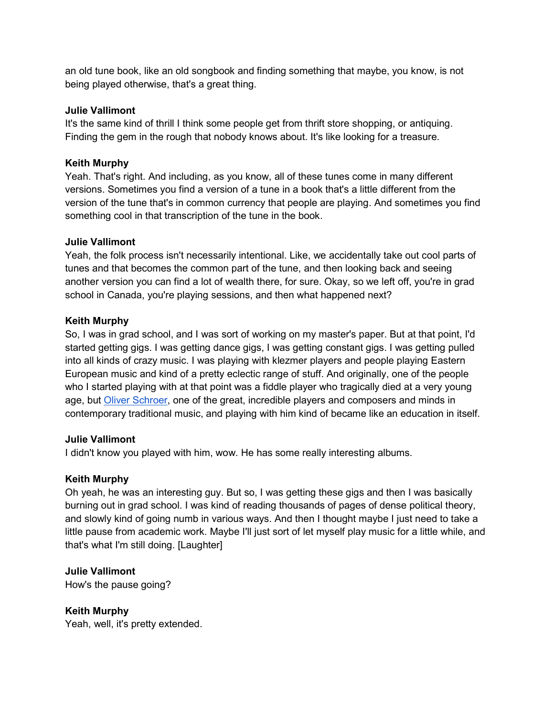an old tune book, like an old songbook and finding something that maybe, you know, is not being played otherwise, that's a great thing.

#### Julie Vallimont

It's the same kind of thrill I think some people get from thrift store shopping, or antiquing. Finding the gem in the rough that nobody knows about. It's like looking for a treasure.

#### Keith Murphy

Yeah. That's right. And including, as you know, all of these tunes come in many different versions. Sometimes you find a version of a tune in a book that's a little different from the version of the tune that's in common currency that people are playing. And sometimes you find something cool in that transcription of the tune in the book.

#### Julie Vallimont

Yeah, the folk process isn't necessarily intentional. Like, we accidentally take out cool parts of tunes and that becomes the common part of the tune, and then looking back and seeing another version you can find a lot of wealth there, for sure. Okay, so we left off, you're in grad school in Canada, you're playing sessions, and then what happened next?

## Keith Murphy

So, I was in grad school, and I was sort of working on my master's paper. But at that point, I'd started getting gigs. I was getting dance gigs, I was getting constant gigs. I was getting pulled into all kinds of crazy music. I was playing with klezmer players and people playing Eastern European music and kind of a pretty eclectic range of stuff. And originally, one of the people who I started playing with at that point was a fiddle player who tragically died at a very young age, but Oliver Schroer, one of the great, incredible players and composers and minds in contemporary traditional music, and playing with him kind of became like an education in itself.

#### Julie Vallimont

I didn't know you played with him, wow. He has some really interesting albums.

#### Keith Murphy

Oh yeah, he was an interesting guy. But so, I was getting these gigs and then I was basically burning out in grad school. I was kind of reading thousands of pages of dense political theory, and slowly kind of going numb in various ways. And then I thought maybe I just need to take a little pause from academic work. Maybe I'll just sort of let myself play music for a little while, and that's what I'm still doing. [Laughter]

#### Julie Vallimont

How's the pause going?

## Keith Murphy

Yeah, well, it's pretty extended.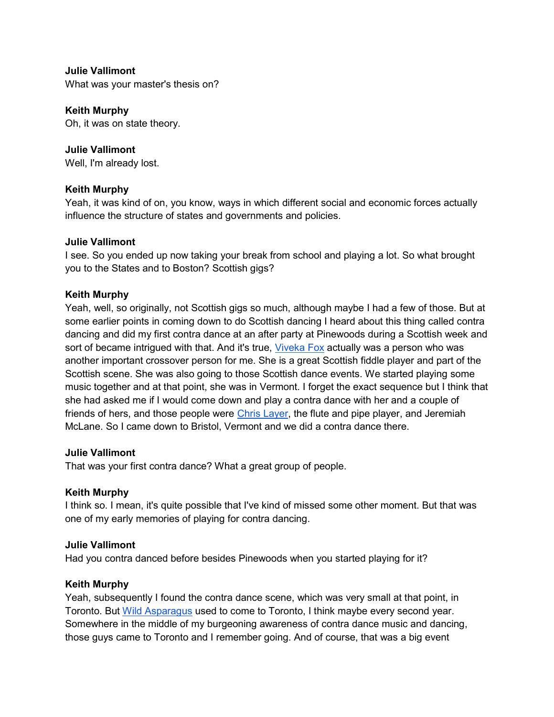Julie Vallimont

What was your master's thesis on?

#### Keith Murphy

Oh, it was on state theory.

#### Julie Vallimont

Well, I'm already lost.

#### Keith Murphy

Yeah, it was kind of on, you know, ways in which different social and economic forces actually influence the structure of states and governments and policies.

#### Julie Vallimont

I see. So you ended up now taking your break from school and playing a lot. So what brought you to the States and to Boston? Scottish gigs?

#### Keith Murphy

Yeah, well, so originally, not Scottish gigs so much, although maybe I had a few of those. But at some earlier points in coming down to do Scottish dancing I heard about this thing called contra dancing and did my first contra dance at an after party at Pinewoods during a Scottish week and sort of became intrigued with that. And it's true, Viveka Fox actually was a person who was another important crossover person for me. She is a great Scottish fiddle player and part of the Scottish scene. She was also going to those Scottish dance events. We started playing some music together and at that point, she was in Vermont. I forget the exact sequence but I think that she had asked me if I would come down and play a contra dance with her and a couple of friends of hers, and those people were Chris Layer, the flute and pipe player, and Jeremiah McLane. So I came down to Bristol, Vermont and we did a contra dance there.

#### Julie Vallimont

That was your first contra dance? What a great group of people.

#### Keith Murphy

I think so. I mean, it's quite possible that I've kind of missed some other moment. But that was one of my early memories of playing for contra dancing.

#### Julie Vallimont

Had you contra danced before besides Pinewoods when you started playing for it?

#### Keith Murphy

Yeah, subsequently I found the contra dance scene, which was very small at that point, in Toronto. But Wild Asparagus used to come to Toronto, I think maybe every second year. Somewhere in the middle of my burgeoning awareness of contra dance music and dancing, those guys came to Toronto and I remember going. And of course, that was a big event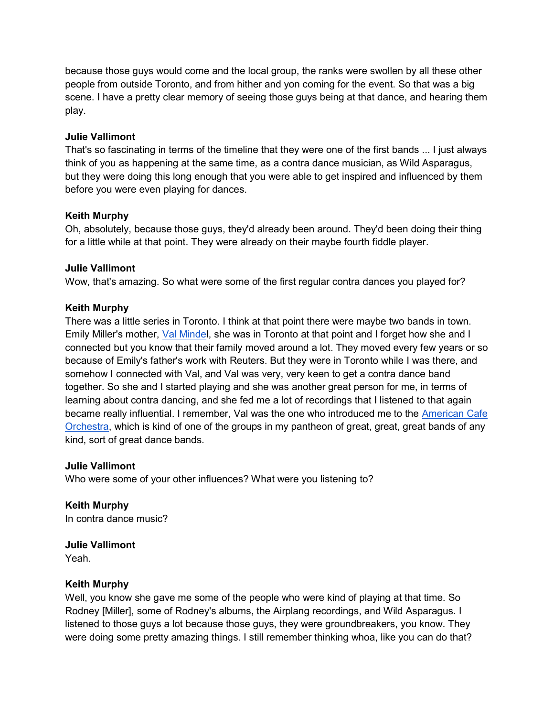because those guys would come and the local group, the ranks were swollen by all these other people from outside Toronto, and from hither and yon coming for the event. So that was a big scene. I have a pretty clear memory of seeing those guys being at that dance, and hearing them play.

#### Julie Vallimont

That's so fascinating in terms of the timeline that they were one of the first bands ... I just always think of you as happening at the same time, as a contra dance musician, as Wild Asparagus, but they were doing this long enough that you were able to get inspired and influenced by them before you were even playing for dances.

## Keith Murphy

Oh, absolutely, because those guys, they'd already been around. They'd been doing their thing for a little while at that point. They were already on their maybe fourth fiddle player.

## Julie Vallimont

Wow, that's amazing. So what were some of the first regular contra dances you played for?

## Keith Murphy

There was a little series in Toronto. I think at that point there were maybe two bands in town. Emily Miller's mother, Val Mindel, she was in Toronto at that point and I forget how she and I connected but you know that their family moved around a lot. They moved every few years or so because of Emily's father's work with Reuters. But they were in Toronto while I was there, and somehow I connected with Val, and Val was very, very keen to get a contra dance band together. So she and I started playing and she was another great person for me, in terms of learning about contra dancing, and she fed me a lot of recordings that I listened to that again became really influential. I remember, Val was the one who introduced me to the American Cafe Orchestra, which is kind of one of the groups in my pantheon of great, great, great bands of any kind, sort of great dance bands.

#### Julie Vallimont

Who were some of your other influences? What were you listening to?

Keith Murphy In contra dance music?

## Julie Vallimont

Yeah.

#### Keith Murphy

Well, you know she gave me some of the people who were kind of playing at that time. So Rodney [Miller], some of Rodney's albums, the Airplang recordings, and Wild Asparagus. I listened to those guys a lot because those guys, they were groundbreakers, you know. They were doing some pretty amazing things. I still remember thinking whoa, like you can do that?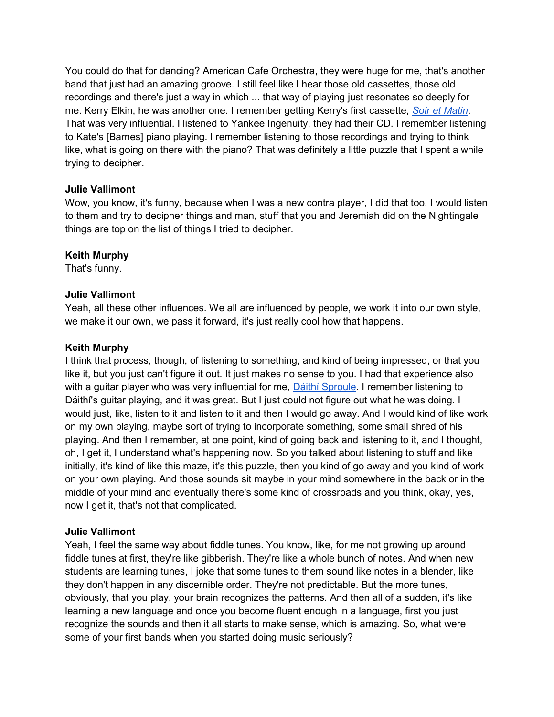You could do that for dancing? American Cafe Orchestra, they were huge for me, that's another band that just had an amazing groove. I still feel like I hear those old cassettes, those old recordings and there's just a way in which ... that way of playing just resonates so deeply for me. Kerry Elkin, he was another one. I remember getting Kerry's first cassette, Soir et Matin. That was very influential. I listened to Yankee Ingenuity, they had their CD. I remember listening to Kate's [Barnes] piano playing. I remember listening to those recordings and trying to think like, what is going on there with the piano? That was definitely a little puzzle that I spent a while trying to decipher.

## Julie Vallimont

Wow, you know, it's funny, because when I was a new contra player, I did that too. I would listen to them and try to decipher things and man, stuff that you and Jeremiah did on the Nightingale things are top on the list of things I tried to decipher.

## Keith Murphy

That's funny.

## Julie Vallimont

Yeah, all these other influences. We all are influenced by people, we work it into our own style, we make it our own, we pass it forward, it's just really cool how that happens.

#### Keith Murphy

I think that process, though, of listening to something, and kind of being impressed, or that you like it, but you just can't figure it out. It just makes no sense to you. I had that experience also with a guitar player who was very influential for me, Dáithí Sproule. I remember listening to Dáithí's guitar playing, and it was great. But I just could not figure out what he was doing. I would just, like, listen to it and listen to it and then I would go away. And I would kind of like work on my own playing, maybe sort of trying to incorporate something, some small shred of his playing. And then I remember, at one point, kind of going back and listening to it, and I thought, oh, I get it, I understand what's happening now. So you talked about listening to stuff and like initially, it's kind of like this maze, it's this puzzle, then you kind of go away and you kind of work on your own playing. And those sounds sit maybe in your mind somewhere in the back or in the middle of your mind and eventually there's some kind of crossroads and you think, okay, yes, now I get it, that's not that complicated.

#### Julie Vallimont

Yeah, I feel the same way about fiddle tunes. You know, like, for me not growing up around fiddle tunes at first, they're like gibberish. They're like a whole bunch of notes. And when new students are learning tunes, I joke that some tunes to them sound like notes in a blender, like they don't happen in any discernible order. They're not predictable. But the more tunes, obviously, that you play, your brain recognizes the patterns. And then all of a sudden, it's like learning a new language and once you become fluent enough in a language, first you just recognize the sounds and then it all starts to make sense, which is amazing. So, what were some of your first bands when you started doing music seriously?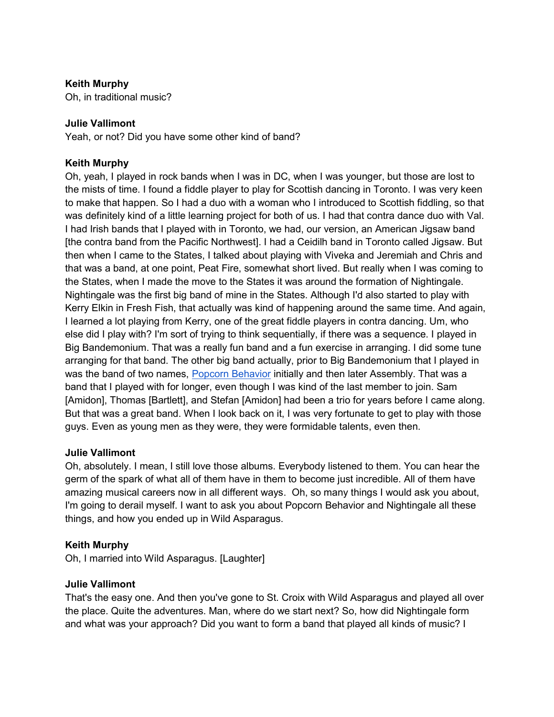## Keith Murphy

Oh, in traditional music?

#### Julie Vallimont

Yeah, or not? Did you have some other kind of band?

#### Keith Murphy

Oh, yeah, I played in rock bands when I was in DC, when I was younger, but those are lost to the mists of time. I found a fiddle player to play for Scottish dancing in Toronto. I was very keen to make that happen. So I had a duo with a woman who I introduced to Scottish fiddling, so that was definitely kind of a little learning project for both of us. I had that contra dance duo with Val. I had Irish bands that I played with in Toronto, we had, our version, an American Jigsaw band [the contra band from the Pacific Northwest]. I had a Ceidilh band in Toronto called Jigsaw. But then when I came to the States, I talked about playing with Viveka and Jeremiah and Chris and that was a band, at one point, Peat Fire, somewhat short lived. But really when I was coming to the States, when I made the move to the States it was around the formation of Nightingale. Nightingale was the first big band of mine in the States. Although I'd also started to play with Kerry Elkin in Fresh Fish, that actually was kind of happening around the same time. And again, I learned a lot playing from Kerry, one of the great fiddle players in contra dancing. Um, who else did I play with? I'm sort of trying to think sequentially, if there was a sequence. I played in Big Bandemonium. That was a really fun band and a fun exercise in arranging. I did some tune arranging for that band. The other big band actually, prior to Big Bandemonium that I played in was the band of two names, Popcorn Behavior initially and then later Assembly. That was a band that I played with for longer, even though I was kind of the last member to join. Sam [Amidon], Thomas [Bartlett], and Stefan [Amidon] had been a trio for years before I came along. But that was a great band. When I look back on it, I was very fortunate to get to play with those guys. Even as young men as they were, they were formidable talents, even then.

#### Julie Vallimont

Oh, absolutely. I mean, I still love those albums. Everybody listened to them. You can hear the germ of the spark of what all of them have in them to become just incredible. All of them have amazing musical careers now in all different ways. Oh, so many things I would ask you about, I'm going to derail myself. I want to ask you about Popcorn Behavior and Nightingale all these things, and how you ended up in Wild Asparagus.

#### Keith Murphy

Oh, I married into Wild Asparagus. [Laughter]

#### Julie Vallimont

That's the easy one. And then you've gone to St. Croix with Wild Asparagus and played all over the place. Quite the adventures. Man, where do we start next? So, how did Nightingale form and what was your approach? Did you want to form a band that played all kinds of music? I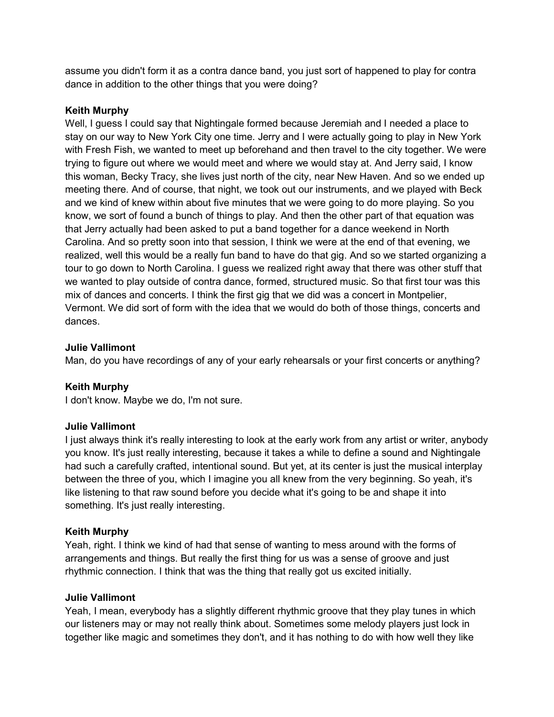assume you didn't form it as a contra dance band, you just sort of happened to play for contra dance in addition to the other things that you were doing?

#### Keith Murphy

Well, I guess I could say that Nightingale formed because Jeremiah and I needed a place to stay on our way to New York City one time. Jerry and I were actually going to play in New York with Fresh Fish, we wanted to meet up beforehand and then travel to the city together. We were trying to figure out where we would meet and where we would stay at. And Jerry said, I know this woman, Becky Tracy, she lives just north of the city, near New Haven. And so we ended up meeting there. And of course, that night, we took out our instruments, and we played with Beck and we kind of knew within about five minutes that we were going to do more playing. So you know, we sort of found a bunch of things to play. And then the other part of that equation was that Jerry actually had been asked to put a band together for a dance weekend in North Carolina. And so pretty soon into that session, I think we were at the end of that evening, we realized, well this would be a really fun band to have do that gig. And so we started organizing a tour to go down to North Carolina. I guess we realized right away that there was other stuff that we wanted to play outside of contra dance, formed, structured music. So that first tour was this mix of dances and concerts. I think the first gig that we did was a concert in Montpelier, Vermont. We did sort of form with the idea that we would do both of those things, concerts and dances.

#### Julie Vallimont

Man, do you have recordings of any of your early rehearsals or your first concerts or anything?

#### Keith Murphy

I don't know. Maybe we do, I'm not sure.

#### Julie Vallimont

I just always think it's really interesting to look at the early work from any artist or writer, anybody you know. It's just really interesting, because it takes a while to define a sound and Nightingale had such a carefully crafted, intentional sound. But yet, at its center is just the musical interplay between the three of you, which I imagine you all knew from the very beginning. So yeah, it's like listening to that raw sound before you decide what it's going to be and shape it into something. It's just really interesting.

#### Keith Murphy

Yeah, right. I think we kind of had that sense of wanting to mess around with the forms of arrangements and things. But really the first thing for us was a sense of groove and just rhythmic connection. I think that was the thing that really got us excited initially.

#### Julie Vallimont

Yeah, I mean, everybody has a slightly different rhythmic groove that they play tunes in which our listeners may or may not really think about. Sometimes some melody players just lock in together like magic and sometimes they don't, and it has nothing to do with how well they like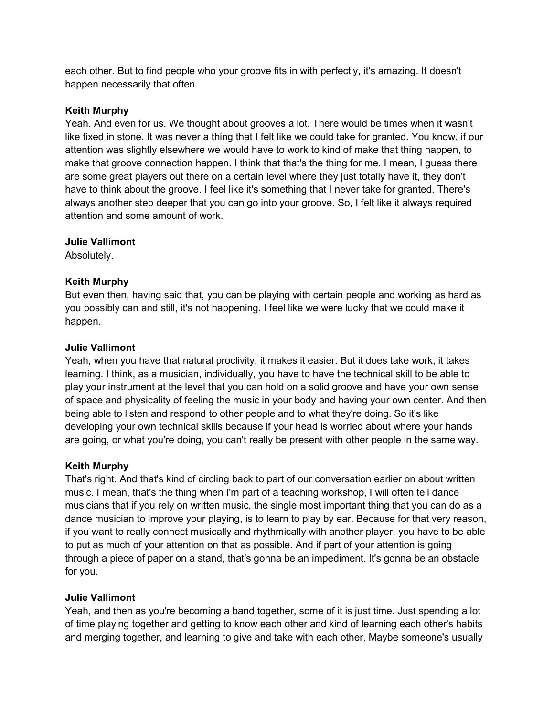each other. But to find people who your groove fits in with perfectly, it's amazing. It doesn't happen necessarily that often.

#### Keith Murphy

Yeah. And even for us. We thought about grooves a lot. There would be times when it wasn't like fixed in stone. It was never a thing that I felt like we could take for granted. You know, if our attention was slightly elsewhere we would have to work to kind of make that thing happen, to make that groove connection happen. I think that that's the thing for me. I mean, I guess there are some great players out there on a certain level where they just totally have it, they don't have to think about the groove. I feel like it's something that I never take for granted. There's always another step deeper that you can go into your groove. So, I felt like it always required attention and some amount of work.

#### Julie Vallimont

Absolutely.

## Keith Murphy

But even then, having said that, you can be playing with certain people and working as hard as you possibly can and still, it's not happening. I feel like we were lucky that we could make it happen.

#### Julie Vallimont

Yeah, when you have that natural proclivity, it makes it easier. But it does take work, it takes learning. I think, as a musician, individually, you have to have the technical skill to be able to play your instrument at the level that you can hold on a solid groove and have your own sense of space and physicality of feeling the music in your body and having your own center. And then being able to listen and respond to other people and to what they're doing. So it's like developing your own technical skills because if your head is worried about where your hands are going, or what you're doing, you can't really be present with other people in the same way.

#### Keith Murphy

That's right. And that's kind of circling back to part of our conversation earlier on about written music. I mean, that's the thing when I'm part of a teaching workshop, I will often tell dance musicians that if you rely on written music, the single most important thing that you can do as a dance musician to improve your playing, is to learn to play by ear. Because for that very reason, if you want to really connect musically and rhythmically with another player, you have to be able to put as much of your attention on that as possible. And if part of your attention is going through a piece of paper on a stand, that's gonna be an impediment. It's gonna be an obstacle for you.

## Julie Vallimont

Yeah, and then as you're becoming a band together, some of it is just time. Just spending a lot of time playing together and getting to know each other and kind of learning each other's habits and merging together, and learning to give and take with each other. Maybe someone's usually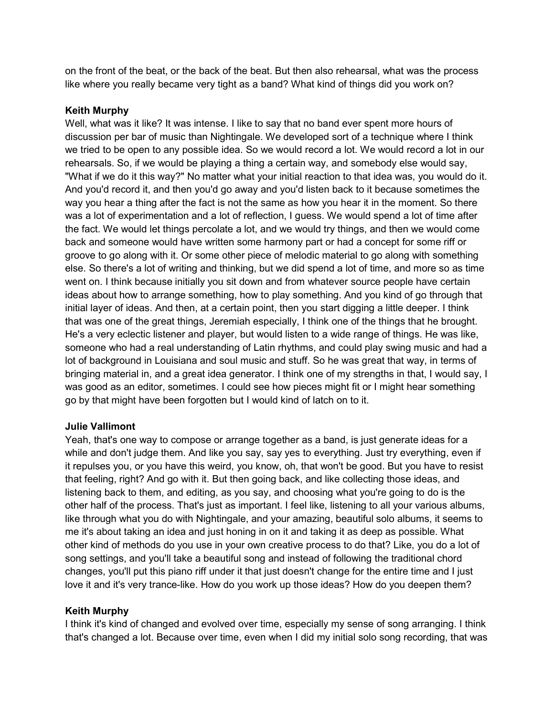on the front of the beat, or the back of the beat. But then also rehearsal, what was the process like where you really became very tight as a band? What kind of things did you work on?

#### Keith Murphy

Well, what was it like? It was intense. I like to say that no band ever spent more hours of discussion per bar of music than Nightingale. We developed sort of a technique where I think we tried to be open to any possible idea. So we would record a lot. We would record a lot in our rehearsals. So, if we would be playing a thing a certain way, and somebody else would say, "What if we do it this way?" No matter what your initial reaction to that idea was, you would do it. And you'd record it, and then you'd go away and you'd listen back to it because sometimes the way you hear a thing after the fact is not the same as how you hear it in the moment. So there was a lot of experimentation and a lot of reflection, I guess. We would spend a lot of time after the fact. We would let things percolate a lot, and we would try things, and then we would come back and someone would have written some harmony part or had a concept for some riff or groove to go along with it. Or some other piece of melodic material to go along with something else. So there's a lot of writing and thinking, but we did spend a lot of time, and more so as time went on. I think because initially you sit down and from whatever source people have certain ideas about how to arrange something, how to play something. And you kind of go through that initial layer of ideas. And then, at a certain point, then you start digging a little deeper. I think that was one of the great things, Jeremiah especially, I think one of the things that he brought. He's a very eclectic listener and player, but would listen to a wide range of things. He was like, someone who had a real understanding of Latin rhythms, and could play swing music and had a lot of background in Louisiana and soul music and stuff. So he was great that way, in terms of bringing material in, and a great idea generator. I think one of my strengths in that, I would say, I was good as an editor, sometimes. I could see how pieces might fit or I might hear something go by that might have been forgotten but I would kind of latch on to it.

#### Julie Vallimont

Yeah, that's one way to compose or arrange together as a band, is just generate ideas for a while and don't judge them. And like you say, say yes to everything. Just try everything, even if it repulses you, or you have this weird, you know, oh, that won't be good. But you have to resist that feeling, right? And go with it. But then going back, and like collecting those ideas, and listening back to them, and editing, as you say, and choosing what you're going to do is the other half of the process. That's just as important. I feel like, listening to all your various albums, like through what you do with Nightingale, and your amazing, beautiful solo albums, it seems to me it's about taking an idea and just honing in on it and taking it as deep as possible. What other kind of methods do you use in your own creative process to do that? Like, you do a lot of song settings, and you'll take a beautiful song and instead of following the traditional chord changes, you'll put this piano riff under it that just doesn't change for the entire time and I just love it and it's very trance-like. How do you work up those ideas? How do you deepen them?

## Keith Murphy

I think it's kind of changed and evolved over time, especially my sense of song arranging. I think that's changed a lot. Because over time, even when I did my initial solo song recording, that was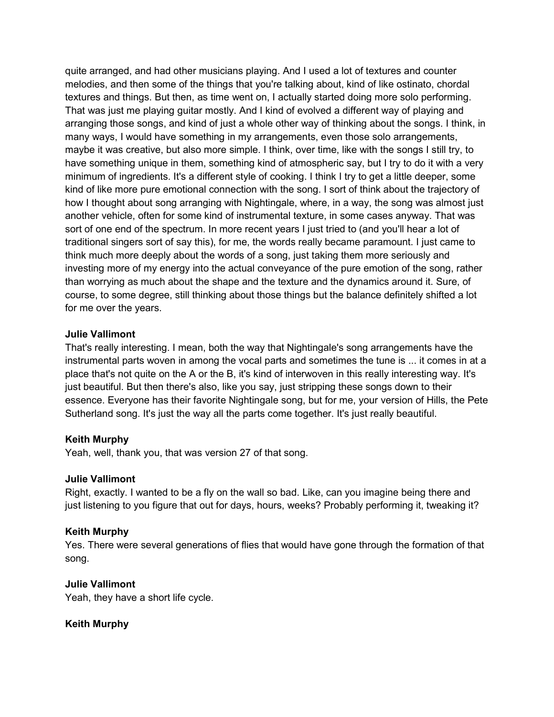quite arranged, and had other musicians playing. And I used a lot of textures and counter melodies, and then some of the things that you're talking about, kind of like ostinato, chordal textures and things. But then, as time went on, I actually started doing more solo performing. That was just me playing guitar mostly. And I kind of evolved a different way of playing and arranging those songs, and kind of just a whole other way of thinking about the songs. I think, in many ways, I would have something in my arrangements, even those solo arrangements, maybe it was creative, but also more simple. I think, over time, like with the songs I still try, to have something unique in them, something kind of atmospheric say, but I try to do it with a very minimum of ingredients. It's a different style of cooking. I think I try to get a little deeper, some kind of like more pure emotional connection with the song. I sort of think about the trajectory of how I thought about song arranging with Nightingale, where, in a way, the song was almost just another vehicle, often for some kind of instrumental texture, in some cases anyway. That was sort of one end of the spectrum. In more recent years I just tried to (and you'll hear a lot of traditional singers sort of say this), for me, the words really became paramount. I just came to think much more deeply about the words of a song, just taking them more seriously and investing more of my energy into the actual conveyance of the pure emotion of the song, rather than worrying as much about the shape and the texture and the dynamics around it. Sure, of course, to some degree, still thinking about those things but the balance definitely shifted a lot for me over the years.

#### Julie Vallimont

That's really interesting. I mean, both the way that Nightingale's song arrangements have the instrumental parts woven in among the vocal parts and sometimes the tune is ... it comes in at a place that's not quite on the A or the B, it's kind of interwoven in this really interesting way. It's just beautiful. But then there's also, like you say, just stripping these songs down to their essence. Everyone has their favorite Nightingale song, but for me, your version of Hills, the Pete Sutherland song. It's just the way all the parts come together. It's just really beautiful.

#### Keith Murphy

Yeah, well, thank you, that was version 27 of that song.

#### Julie Vallimont

Right, exactly. I wanted to be a fly on the wall so bad. Like, can you imagine being there and just listening to you figure that out for days, hours, weeks? Probably performing it, tweaking it?

#### Keith Murphy

Yes. There were several generations of flies that would have gone through the formation of that song.

#### Julie Vallimont

Yeah, they have a short life cycle.

#### Keith Murphy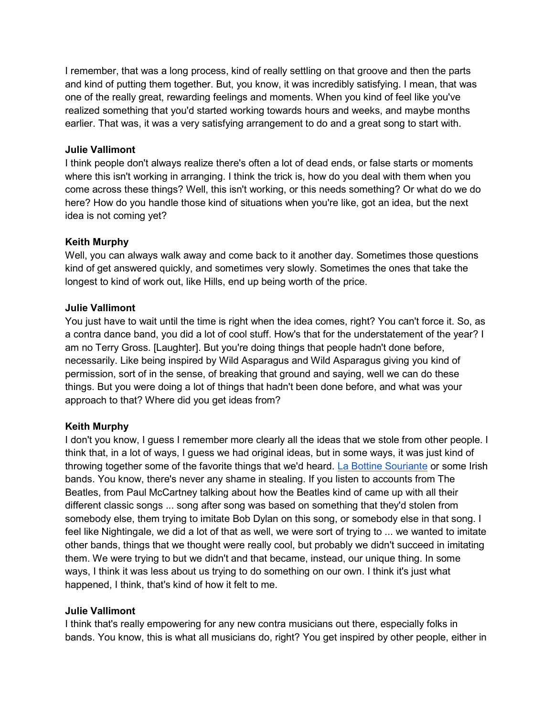I remember, that was a long process, kind of really settling on that groove and then the parts and kind of putting them together. But, you know, it was incredibly satisfying. I mean, that was one of the really great, rewarding feelings and moments. When you kind of feel like you've realized something that you'd started working towards hours and weeks, and maybe months earlier. That was, it was a very satisfying arrangement to do and a great song to start with.

#### Julie Vallimont

I think people don't always realize there's often a lot of dead ends, or false starts or moments where this isn't working in arranging. I think the trick is, how do you deal with them when you come across these things? Well, this isn't working, or this needs something? Or what do we do here? How do you handle those kind of situations when you're like, got an idea, but the next idea is not coming yet?

#### Keith Murphy

Well, you can always walk away and come back to it another day. Sometimes those questions kind of get answered quickly, and sometimes very slowly. Sometimes the ones that take the longest to kind of work out, like Hills, end up being worth of the price.

#### Julie Vallimont

You just have to wait until the time is right when the idea comes, right? You can't force it. So, as a contra dance band, you did a lot of cool stuff. How's that for the understatement of the year? I am no Terry Gross. [Laughter]. But you're doing things that people hadn't done before, necessarily. Like being inspired by Wild Asparagus and Wild Asparagus giving you kind of permission, sort of in the sense, of breaking that ground and saying, well we can do these things. But you were doing a lot of things that hadn't been done before, and what was your approach to that? Where did you get ideas from?

#### Keith Murphy

I don't you know, I guess I remember more clearly all the ideas that we stole from other people. I think that, in a lot of ways, I guess we had original ideas, but in some ways, it was just kind of throwing together some of the favorite things that we'd heard. La Bottine Souriante or some Irish bands. You know, there's never any shame in stealing. If you listen to accounts from The Beatles, from Paul McCartney talking about how the Beatles kind of came up with all their different classic songs ... song after song was based on something that they'd stolen from somebody else, them trying to imitate Bob Dylan on this song, or somebody else in that song. I feel like Nightingale, we did a lot of that as well, we were sort of trying to ... we wanted to imitate other bands, things that we thought were really cool, but probably we didn't succeed in imitating them. We were trying to but we didn't and that became, instead, our unique thing. In some ways, I think it was less about us trying to do something on our own. I think it's just what happened, I think, that's kind of how it felt to me.

#### Julie Vallimont

I think that's really empowering for any new contra musicians out there, especially folks in bands. You know, this is what all musicians do, right? You get inspired by other people, either in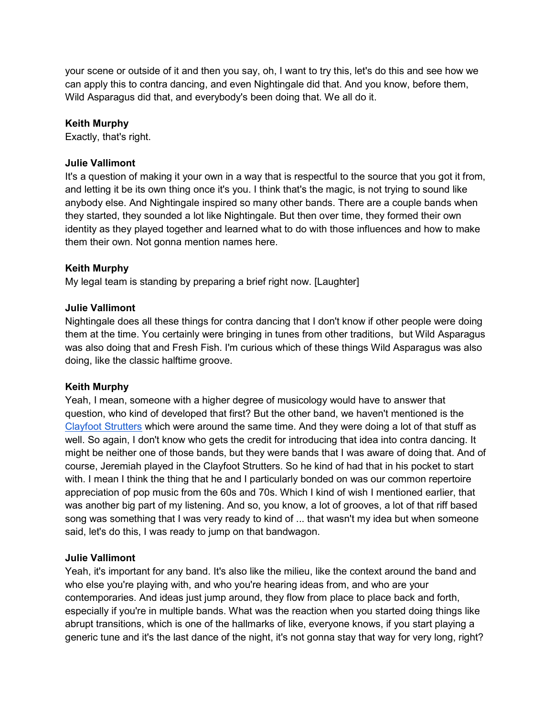your scene or outside of it and then you say, oh, I want to try this, let's do this and see how we can apply this to contra dancing, and even Nightingale did that. And you know, before them, Wild Asparagus did that, and everybody's been doing that. We all do it.

#### Keith Murphy

Exactly, that's right.

#### Julie Vallimont

It's a question of making it your own in a way that is respectful to the source that you got it from, and letting it be its own thing once it's you. I think that's the magic, is not trying to sound like anybody else. And Nightingale inspired so many other bands. There are a couple bands when they started, they sounded a lot like Nightingale. But then over time, they formed their own identity as they played together and learned what to do with those influences and how to make them their own. Not gonna mention names here.

## Keith Murphy

My legal team is standing by preparing a brief right now. [Laughter]

## Julie Vallimont

Nightingale does all these things for contra dancing that I don't know if other people were doing them at the time. You certainly were bringing in tunes from other traditions, but Wild Asparagus was also doing that and Fresh Fish. I'm curious which of these things Wild Asparagus was also doing, like the classic halftime groove.

#### Keith Murphy

Yeah, I mean, someone with a higher degree of musicology would have to answer that question, who kind of developed that first? But the other band, we haven't mentioned is the Clayfoot Strutters which were around the same time. And they were doing a lot of that stuff as well. So again, I don't know who gets the credit for introducing that idea into contra dancing. It might be neither one of those bands, but they were bands that I was aware of doing that. And of course, Jeremiah played in the Clayfoot Strutters. So he kind of had that in his pocket to start with. I mean I think the thing that he and I particularly bonded on was our common repertoire appreciation of pop music from the 60s and 70s. Which I kind of wish I mentioned earlier, that was another big part of my listening. And so, you know, a lot of grooves, a lot of that riff based song was something that I was very ready to kind of ... that wasn't my idea but when someone said, let's do this, I was ready to jump on that bandwagon.

#### Julie Vallimont

Yeah, it's important for any band. It's also like the milieu, like the context around the band and who else you're playing with, and who you're hearing ideas from, and who are your contemporaries. And ideas just jump around, they flow from place to place back and forth, especially if you're in multiple bands. What was the reaction when you started doing things like abrupt transitions, which is one of the hallmarks of like, everyone knows, if you start playing a generic tune and it's the last dance of the night, it's not gonna stay that way for very long, right?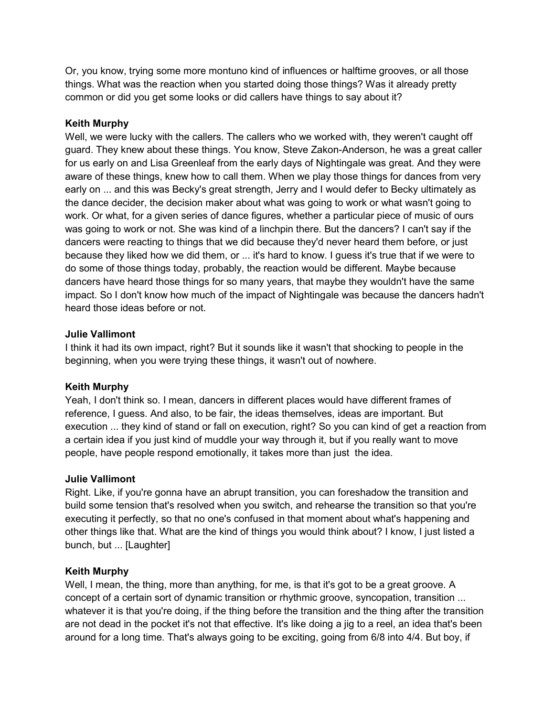Or, you know, trying some more montuno kind of influences or halftime grooves, or all those things. What was the reaction when you started doing those things? Was it already pretty common or did you get some looks or did callers have things to say about it?

## Keith Murphy

Well, we were lucky with the callers. The callers who we worked with, they weren't caught off guard. They knew about these things. You know, Steve Zakon-Anderson, he was a great caller for us early on and Lisa Greenleaf from the early days of Nightingale was great. And they were aware of these things, knew how to call them. When we play those things for dances from very early on ... and this was Becky's great strength, Jerry and I would defer to Becky ultimately as the dance decider, the decision maker about what was going to work or what wasn't going to work. Or what, for a given series of dance figures, whether a particular piece of music of ours was going to work or not. She was kind of a linchpin there. But the dancers? I can't say if the dancers were reacting to things that we did because they'd never heard them before, or just because they liked how we did them, or ... it's hard to know. I guess it's true that if we were to do some of those things today, probably, the reaction would be different. Maybe because dancers have heard those things for so many years, that maybe they wouldn't have the same impact. So I don't know how much of the impact of Nightingale was because the dancers hadn't heard those ideas before or not.

#### Julie Vallimont

I think it had its own impact, right? But it sounds like it wasn't that shocking to people in the beginning, when you were trying these things, it wasn't out of nowhere.

#### Keith Murphy

Yeah, I don't think so. I mean, dancers in different places would have different frames of reference, I guess. And also, to be fair, the ideas themselves, ideas are important. But execution ... they kind of stand or fall on execution, right? So you can kind of get a reaction from a certain idea if you just kind of muddle your way through it, but if you really want to move people, have people respond emotionally, it takes more than just the idea.

#### Julie Vallimont

Right. Like, if you're gonna have an abrupt transition, you can foreshadow the transition and build some tension that's resolved when you switch, and rehearse the transition so that you're executing it perfectly, so that no one's confused in that moment about what's happening and other things like that. What are the kind of things you would think about? I know, I just listed a bunch, but ... [Laughter]

#### Keith Murphy

Well, I mean, the thing, more than anything, for me, is that it's got to be a great groove. A concept of a certain sort of dynamic transition or rhythmic groove, syncopation, transition ... whatever it is that you're doing, if the thing before the transition and the thing after the transition are not dead in the pocket it's not that effective. It's like doing a jig to a reel, an idea that's been around for a long time. That's always going to be exciting, going from 6/8 into 4/4. But boy, if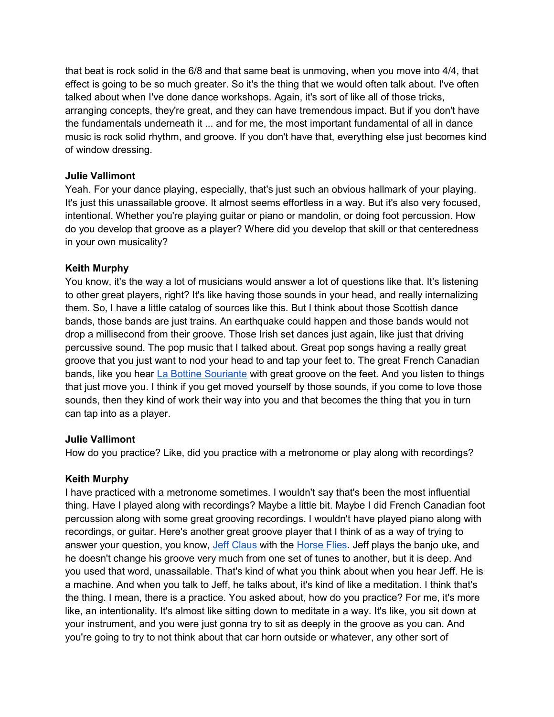that beat is rock solid in the 6/8 and that same beat is unmoving, when you move into 4/4, that effect is going to be so much greater. So it's the thing that we would often talk about. I've often talked about when I've done dance workshops. Again, it's sort of like all of those tricks, arranging concepts, they're great, and they can have tremendous impact. But if you don't have the fundamentals underneath it ... and for me, the most important fundamental of all in dance music is rock solid rhythm, and groove. If you don't have that, everything else just becomes kind of window dressing.

#### Julie Vallimont

Yeah. For your dance playing, especially, that's just such an obvious hallmark of your playing. It's just this unassailable groove. It almost seems effortless in a way. But it's also very focused, intentional. Whether you're playing guitar or piano or mandolin, or doing foot percussion. How do you develop that groove as a player? Where did you develop that skill or that centeredness in your own musicality?

## Keith Murphy

You know, it's the way a lot of musicians would answer a lot of questions like that. It's listening to other great players, right? It's like having those sounds in your head, and really internalizing them. So, I have a little catalog of sources like this. But I think about those Scottish dance bands, those bands are just trains. An earthquake could happen and those bands would not drop a millisecond from their groove. Those Irish set dances just again, like just that driving percussive sound. The pop music that I talked about. Great pop songs having a really great groove that you just want to nod your head to and tap your feet to. The great French Canadian bands, like you hear La Bottine Souriante with great groove on the feet. And you listen to things that just move you. I think if you get moved yourself by those sounds, if you come to love those sounds, then they kind of work their way into you and that becomes the thing that you in turn can tap into as a player.

#### Julie Vallimont

How do you practice? Like, did you practice with a metronome or play along with recordings?

#### Keith Murphy

I have practiced with a metronome sometimes. I wouldn't say that's been the most influential thing. Have I played along with recordings? Maybe a little bit. Maybe I did French Canadian foot percussion along with some great grooving recordings. I wouldn't have played piano along with recordings, or guitar. Here's another great groove player that I think of as a way of trying to answer your question, you know, Jeff Claus with the Horse Flies. Jeff plays the banjo uke, and he doesn't change his groove very much from one set of tunes to another, but it is deep. And you used that word, unassailable. That's kind of what you think about when you hear Jeff. He is a machine. And when you talk to Jeff, he talks about, it's kind of like a meditation. I think that's the thing. I mean, there is a practice. You asked about, how do you practice? For me, it's more like, an intentionality. It's almost like sitting down to meditate in a way. It's like, you sit down at your instrument, and you were just gonna try to sit as deeply in the groove as you can. And you're going to try to not think about that car horn outside or whatever, any other sort of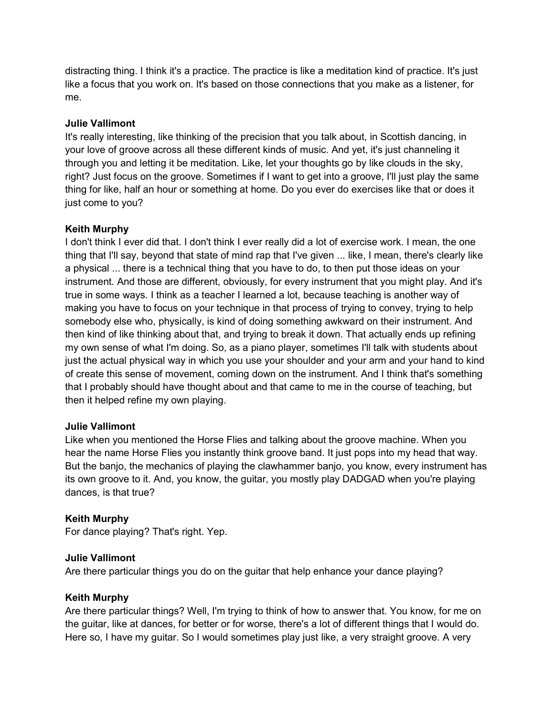distracting thing. I think it's a practice. The practice is like a meditation kind of practice. It's just like a focus that you work on. It's based on those connections that you make as a listener, for me.

## Julie Vallimont

It's really interesting, like thinking of the precision that you talk about, in Scottish dancing, in your love of groove across all these different kinds of music. And yet, it's just channeling it through you and letting it be meditation. Like, let your thoughts go by like clouds in the sky, right? Just focus on the groove. Sometimes if I want to get into a groove, I'll just play the same thing for like, half an hour or something at home. Do you ever do exercises like that or does it just come to you?

## Keith Murphy

I don't think I ever did that. I don't think I ever really did a lot of exercise work. I mean, the one thing that I'll say, beyond that state of mind rap that I've given ... like, I mean, there's clearly like a physical ... there is a technical thing that you have to do, to then put those ideas on your instrument. And those are different, obviously, for every instrument that you might play. And it's true in some ways. I think as a teacher I learned a lot, because teaching is another way of making you have to focus on your technique in that process of trying to convey, trying to help somebody else who, physically, is kind of doing something awkward on their instrument. And then kind of like thinking about that, and trying to break it down. That actually ends up refining my own sense of what I'm doing. So, as a piano player, sometimes I'll talk with students about just the actual physical way in which you use your shoulder and your arm and your hand to kind of create this sense of movement, coming down on the instrument. And I think that's something that I probably should have thought about and that came to me in the course of teaching, but then it helped refine my own playing.

#### Julie Vallimont

Like when you mentioned the Horse Flies and talking about the groove machine. When you hear the name Horse Flies you instantly think groove band. It just pops into my head that way. But the banjo, the mechanics of playing the clawhammer banjo, you know, every instrument has its own groove to it. And, you know, the guitar, you mostly play DADGAD when you're playing dances, is that true?

#### Keith Murphy

For dance playing? That's right. Yep.

#### Julie Vallimont

Are there particular things you do on the guitar that help enhance your dance playing?

#### Keith Murphy

Are there particular things? Well, I'm trying to think of how to answer that. You know, for me on the guitar, like at dances, for better or for worse, there's a lot of different things that I would do. Here so, I have my guitar. So I would sometimes play just like, a very straight groove. A very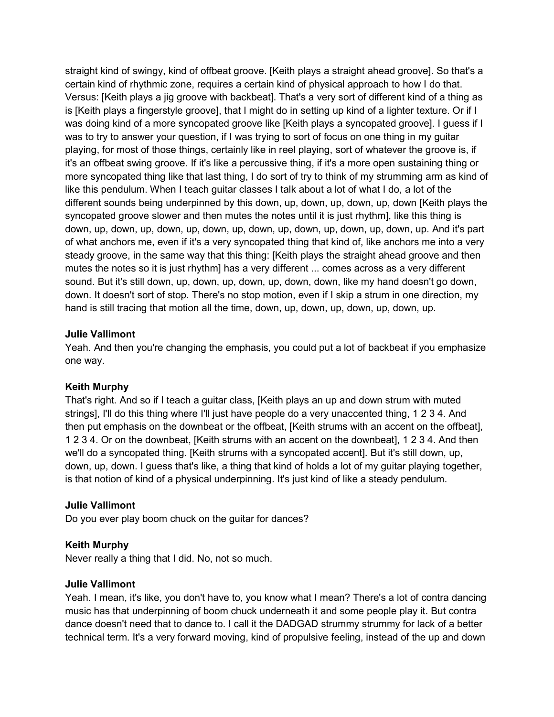straight kind of swingy, kind of offbeat groove. [Keith plays a straight ahead groove]. So that's a certain kind of rhythmic zone, requires a certain kind of physical approach to how I do that. Versus: [Keith plays a jig groove with backbeat]. That's a very sort of different kind of a thing as is [Keith plays a fingerstyle groove], that I might do in setting up kind of a lighter texture. Or if I was doing kind of a more syncopated groove like [Keith plays a syncopated groove]. I guess if I was to try to answer your question, if I was trying to sort of focus on one thing in my guitar playing, for most of those things, certainly like in reel playing, sort of whatever the groove is, if it's an offbeat swing groove. If it's like a percussive thing, if it's a more open sustaining thing or more syncopated thing like that last thing, I do sort of try to think of my strumming arm as kind of like this pendulum. When I teach guitar classes I talk about a lot of what I do, a lot of the different sounds being underpinned by this down, up, down, up, down, up, down [Keith plays the syncopated groove slower and then mutes the notes until it is just rhythm], like this thing is down, up, down, up, down, up, down, up, down, up, down, up, down, up, down, up. And it's part of what anchors me, even if it's a very syncopated thing that kind of, like anchors me into a very steady groove, in the same way that this thing: [Keith plays the straight ahead groove and then mutes the notes so it is just rhythm] has a very different ... comes across as a very different sound. But it's still down, up, down, up, down, up, down, down, like my hand doesn't go down, down. It doesn't sort of stop. There's no stop motion, even if I skip a strum in one direction, my hand is still tracing that motion all the time, down, up, down, up, down, up, down, up.

#### Julie Vallimont

Yeah. And then you're changing the emphasis, you could put a lot of backbeat if you emphasize one way.

#### Keith Murphy

That's right. And so if I teach a guitar class, [Keith plays an up and down strum with muted strings], I'll do this thing where I'll just have people do a very unaccented thing, 1 2 3 4. And then put emphasis on the downbeat or the offbeat, [Keith strums with an accent on the offbeat], 1 2 3 4. Or on the downbeat, [Keith strums with an accent on the downbeat], 1 2 3 4. And then we'll do a syncopated thing. [Keith strums with a syncopated accent]. But it's still down, up, down, up, down. I guess that's like, a thing that kind of holds a lot of my guitar playing together, is that notion of kind of a physical underpinning. It's just kind of like a steady pendulum.

#### Julie Vallimont

Do you ever play boom chuck on the guitar for dances?

#### Keith Murphy

Never really a thing that I did. No, not so much.

#### Julie Vallimont

Yeah. I mean, it's like, you don't have to, you know what I mean? There's a lot of contra dancing music has that underpinning of boom chuck underneath it and some people play it. But contra dance doesn't need that to dance to. I call it the DADGAD strummy strummy for lack of a better technical term. It's a very forward moving, kind of propulsive feeling, instead of the up and down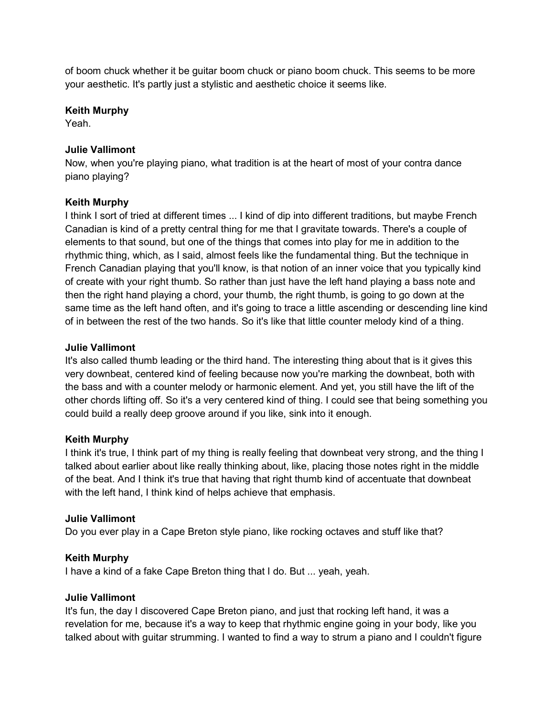of boom chuck whether it be guitar boom chuck or piano boom chuck. This seems to be more your aesthetic. It's partly just a stylistic and aesthetic choice it seems like.

#### Keith Murphy

Yeah.

#### Julie Vallimont

Now, when you're playing piano, what tradition is at the heart of most of your contra dance piano playing?

#### Keith Murphy

I think I sort of tried at different times ... I kind of dip into different traditions, but maybe French Canadian is kind of a pretty central thing for me that I gravitate towards. There's a couple of elements to that sound, but one of the things that comes into play for me in addition to the rhythmic thing, which, as I said, almost feels like the fundamental thing. But the technique in French Canadian playing that you'll know, is that notion of an inner voice that you typically kind of create with your right thumb. So rather than just have the left hand playing a bass note and then the right hand playing a chord, your thumb, the right thumb, is going to go down at the same time as the left hand often, and it's going to trace a little ascending or descending line kind of in between the rest of the two hands. So it's like that little counter melody kind of a thing.

#### Julie Vallimont

It's also called thumb leading or the third hand. The interesting thing about that is it gives this very downbeat, centered kind of feeling because now you're marking the downbeat, both with the bass and with a counter melody or harmonic element. And yet, you still have the lift of the other chords lifting off. So it's a very centered kind of thing. I could see that being something you could build a really deep groove around if you like, sink into it enough.

#### Keith Murphy

I think it's true, I think part of my thing is really feeling that downbeat very strong, and the thing I talked about earlier about like really thinking about, like, placing those notes right in the middle of the beat. And I think it's true that having that right thumb kind of accentuate that downbeat with the left hand, I think kind of helps achieve that emphasis.

#### Julie Vallimont

Do you ever play in a Cape Breton style piano, like rocking octaves and stuff like that?

#### Keith Murphy

I have a kind of a fake Cape Breton thing that I do. But ... yeah, yeah.

#### Julie Vallimont

It's fun, the day I discovered Cape Breton piano, and just that rocking left hand, it was a revelation for me, because it's a way to keep that rhythmic engine going in your body, like you talked about with guitar strumming. I wanted to find a way to strum a piano and I couldn't figure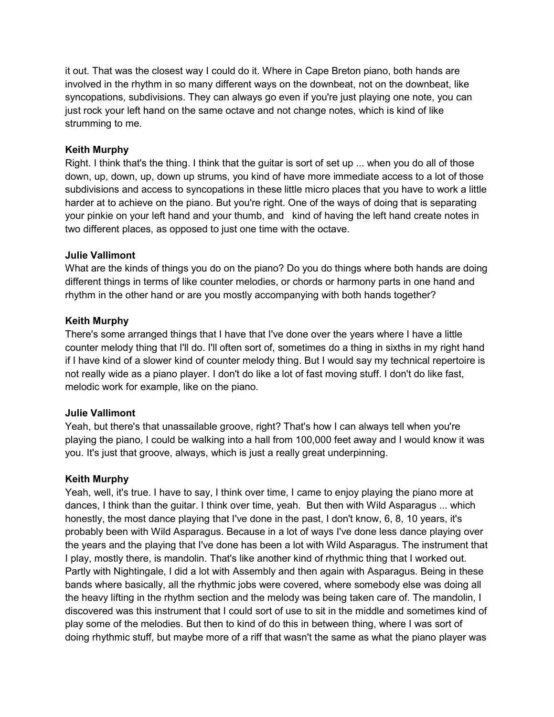it out. That was the closest way I could do it. Where in Cape Breton piano, both hands are involved in the rhythm in so many different ways on the downbeat, not on the downbeat, like syncopations, subdivisions. They can always go even if you're just playing one note, you can just rock your left hand on the same octave and not change notes, which is kind of like strumming to me.

#### Keith Murphy

Right. I think that's the thing. I think that the guitar is sort of set up ... when you do all of those down, up, down, up, down up strums, you kind of have more immediate access to a lot of those subdivisions and access to syncopations in these little micro places that you have to work a little harder at to achieve on the piano. But you're right. One of the ways of doing that is separating your pinkie on your left hand and your thumb, and kind of having the left hand create notes in two different places, as opposed to just one time with the octave.

#### Julie Vallimont

What are the kinds of things you do on the piano? Do you do things where both hands are doing different things in terms of like counter melodies, or chords or harmony parts in one hand and rhythm in the other hand or are you mostly accompanying with both hands together?

#### Keith Murphy

There's some arranged things that I have that I've done over the years where I have a little counter melody thing that I'll do. I'll often sort of, sometimes do a thing in sixths in my right hand if I have kind of a slower kind of counter melody thing. But I would say my technical repertoire is not really wide as a piano player. I don't do like a lot of fast moving stuff. I don't do like fast, melodic work for example, like on the piano.

#### Julie Vallimont

Yeah, but there's that unassailable groove, right? That's how I can always tell when you're playing the piano, I could be walking into a hall from 100,000 feet away and I would know it was you. It's just that groove, always, which is just a really great underpinning.

#### Keith Murphy

Yeah, well, it's true. I have to say, I think over time, I came to enjoy playing the piano more at dances, I think than the guitar. I think over time, yeah. But then with Wild Asparagus ... which honestly, the most dance playing that I've done in the past, I don't know, 6, 8, 10 years, it's probably been with Wild Asparagus. Because in a lot of ways I've done less dance playing over the years and the playing that I've done has been a lot with Wild Asparagus. The instrument that I play, mostly there, is mandolin. That's like another kind of rhythmic thing that I worked out. Partly with Nightingale, I did a lot with Assembly and then again with Asparagus. Being in these bands where basically, all the rhythmic jobs were covered, where somebody else was doing all the heavy lifting in the rhythm section and the melody was being taken care of. The mandolin, I discovered was this instrument that I could sort of use to sit in the middle and sometimes kind of play some of the melodies. But then to kind of do this in between thing, where I was sort of doing rhythmic stuff, but maybe more of a riff that wasn't the same as what the piano player was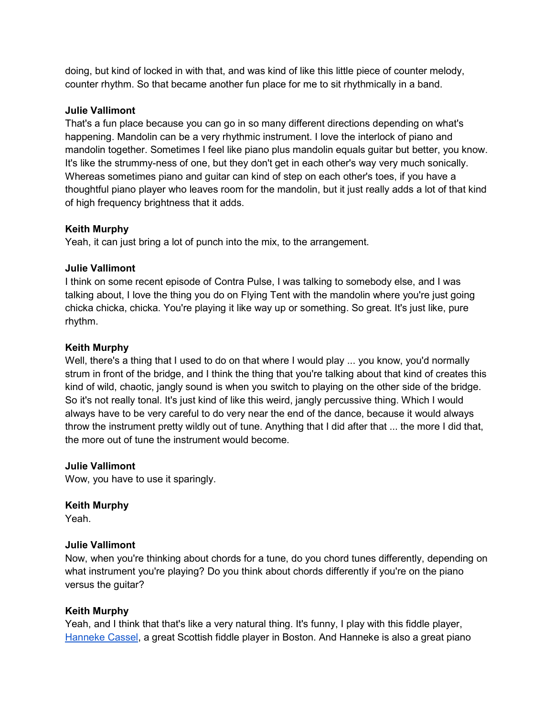doing, but kind of locked in with that, and was kind of like this little piece of counter melody, counter rhythm. So that became another fun place for me to sit rhythmically in a band.

#### Julie Vallimont

That's a fun place because you can go in so many different directions depending on what's happening. Mandolin can be a very rhythmic instrument. I love the interlock of piano and mandolin together. Sometimes I feel like piano plus mandolin equals guitar but better, you know. It's like the strummy-ness of one, but they don't get in each other's way very much sonically. Whereas sometimes piano and guitar can kind of step on each other's toes, if you have a thoughtful piano player who leaves room for the mandolin, but it just really adds a lot of that kind of high frequency brightness that it adds.

## Keith Murphy

Yeah, it can just bring a lot of punch into the mix, to the arrangement.

## Julie Vallimont

I think on some recent episode of Contra Pulse, I was talking to somebody else, and I was talking about, I love the thing you do on Flying Tent with the mandolin where you're just going chicka chicka, chicka. You're playing it like way up or something. So great. It's just like, pure rhythm.

## Keith Murphy

Well, there's a thing that I used to do on that where I would play ... you know, you'd normally strum in front of the bridge, and I think the thing that you're talking about that kind of creates this kind of wild, chaotic, jangly sound is when you switch to playing on the other side of the bridge. So it's not really tonal. It's just kind of like this weird, jangly percussive thing. Which I would always have to be very careful to do very near the end of the dance, because it would always throw the instrument pretty wildly out of tune. Anything that I did after that ... the more I did that, the more out of tune the instrument would become.

#### Julie Vallimont

Wow, you have to use it sparingly.

#### Keith Murphy

Yeah.

#### Julie Vallimont

Now, when you're thinking about chords for a tune, do you chord tunes differently, depending on what instrument you're playing? Do you think about chords differently if you're on the piano versus the guitar?

## Keith Murphy

Yeah, and I think that that's like a very natural thing. It's funny, I play with this fiddle player, Hanneke Cassel, a great Scottish fiddle player in Boston. And Hanneke is also a great piano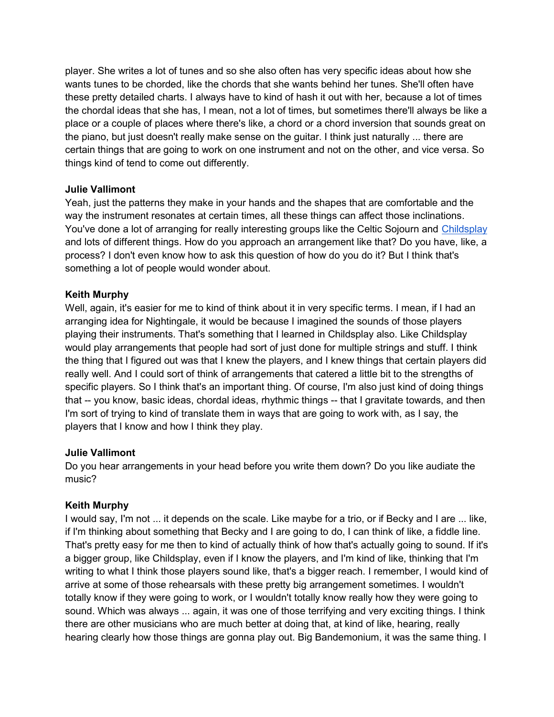player. She writes a lot of tunes and so she also often has very specific ideas about how she wants tunes to be chorded, like the chords that she wants behind her tunes. She'll often have these pretty detailed charts. I always have to kind of hash it out with her, because a lot of times the chordal ideas that she has, I mean, not a lot of times, but sometimes there'll always be like a place or a couple of places where there's like, a chord or a chord inversion that sounds great on the piano, but just doesn't really make sense on the guitar. I think just naturally ... there are certain things that are going to work on one instrument and not on the other, and vice versa. So things kind of tend to come out differently.

#### Julie Vallimont

Yeah, just the patterns they make in your hands and the shapes that are comfortable and the way the instrument resonates at certain times, all these things can affect those inclinations. You've done a lot of arranging for really interesting groups like the Celtic Sojourn and Childsplay and lots of different things. How do you approach an arrangement like that? Do you have, like, a process? I don't even know how to ask this question of how do you do it? But I think that's something a lot of people would wonder about.

## Keith Murphy

Well, again, it's easier for me to kind of think about it in very specific terms. I mean, if I had an arranging idea for Nightingale, it would be because I imagined the sounds of those players playing their instruments. That's something that I learned in Childsplay also. Like Childsplay would play arrangements that people had sort of just done for multiple strings and stuff. I think the thing that I figured out was that I knew the players, and I knew things that certain players did really well. And I could sort of think of arrangements that catered a little bit to the strengths of specific players. So I think that's an important thing. Of course, I'm also just kind of doing things that -- you know, basic ideas, chordal ideas, rhythmic things -- that I gravitate towards, and then I'm sort of trying to kind of translate them in ways that are going to work with, as I say, the players that I know and how I think they play.

#### Julie Vallimont

Do you hear arrangements in your head before you write them down? Do you like audiate the music?

## Keith Murphy

I would say, I'm not ... it depends on the scale. Like maybe for a trio, or if Becky and I are ... like, if I'm thinking about something that Becky and I are going to do, I can think of like, a fiddle line. That's pretty easy for me then to kind of actually think of how that's actually going to sound. If it's a bigger group, like Childsplay, even if I know the players, and I'm kind of like, thinking that I'm writing to what I think those players sound like, that's a bigger reach. I remember, I would kind of arrive at some of those rehearsals with these pretty big arrangement sometimes. I wouldn't totally know if they were going to work, or I wouldn't totally know really how they were going to sound. Which was always ... again, it was one of those terrifying and very exciting things. I think there are other musicians who are much better at doing that, at kind of like, hearing, really hearing clearly how those things are gonna play out. Big Bandemonium, it was the same thing. I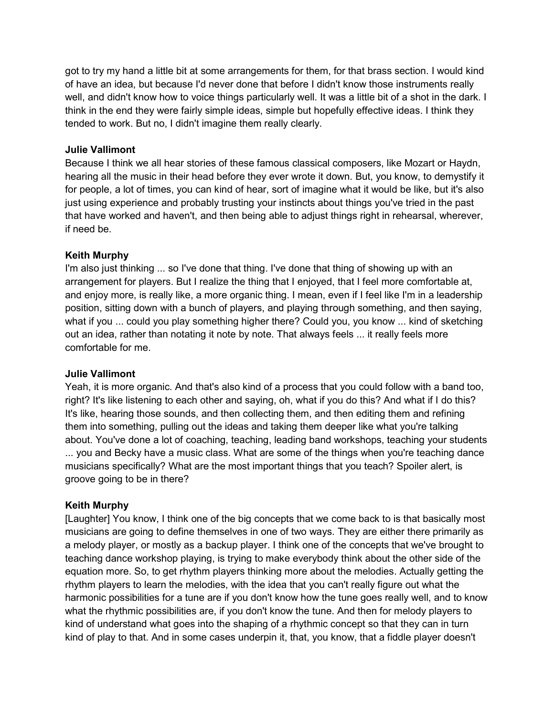got to try my hand a little bit at some arrangements for them, for that brass section. I would kind of have an idea, but because I'd never done that before I didn't know those instruments really well, and didn't know how to voice things particularly well. It was a little bit of a shot in the dark. I think in the end they were fairly simple ideas, simple but hopefully effective ideas. I think they tended to work. But no, I didn't imagine them really clearly.

#### Julie Vallimont

Because I think we all hear stories of these famous classical composers, like Mozart or Haydn, hearing all the music in their head before they ever wrote it down. But, you know, to demystify it for people, a lot of times, you can kind of hear, sort of imagine what it would be like, but it's also just using experience and probably trusting your instincts about things you've tried in the past that have worked and haven't, and then being able to adjust things right in rehearsal, wherever, if need be.

#### Keith Murphy

I'm also just thinking ... so I've done that thing. I've done that thing of showing up with an arrangement for players. But I realize the thing that I enjoyed, that I feel more comfortable at, and enjoy more, is really like, a more organic thing. I mean, even if I feel like I'm in a leadership position, sitting down with a bunch of players, and playing through something, and then saying, what if you ... could you play something higher there? Could you, you know ... kind of sketching out an idea, rather than notating it note by note. That always feels ... it really feels more comfortable for me.

#### Julie Vallimont

Yeah, it is more organic. And that's also kind of a process that you could follow with a band too, right? It's like listening to each other and saying, oh, what if you do this? And what if I do this? It's like, hearing those sounds, and then collecting them, and then editing them and refining them into something, pulling out the ideas and taking them deeper like what you're talking about. You've done a lot of coaching, teaching, leading band workshops, teaching your students ... you and Becky have a music class. What are some of the things when you're teaching dance musicians specifically? What are the most important things that you teach? Spoiler alert, is groove going to be in there?

#### Keith Murphy

[Laughter] You know, I think one of the big concepts that we come back to is that basically most musicians are going to define themselves in one of two ways. They are either there primarily as a melody player, or mostly as a backup player. I think one of the concepts that we've brought to teaching dance workshop playing, is trying to make everybody think about the other side of the equation more. So, to get rhythm players thinking more about the melodies. Actually getting the rhythm players to learn the melodies, with the idea that you can't really figure out what the harmonic possibilities for a tune are if you don't know how the tune goes really well, and to know what the rhythmic possibilities are, if you don't know the tune. And then for melody players to kind of understand what goes into the shaping of a rhythmic concept so that they can in turn kind of play to that. And in some cases underpin it, that, you know, that a fiddle player doesn't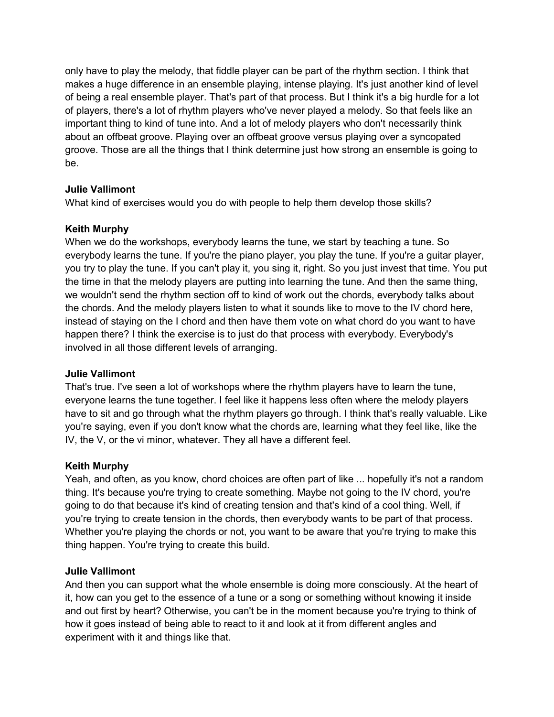only have to play the melody, that fiddle player can be part of the rhythm section. I think that makes a huge difference in an ensemble playing, intense playing. It's just another kind of level of being a real ensemble player. That's part of that process. But I think it's a big hurdle for a lot of players, there's a lot of rhythm players who've never played a melody. So that feels like an important thing to kind of tune into. And a lot of melody players who don't necessarily think about an offbeat groove. Playing over an offbeat groove versus playing over a syncopated groove. Those are all the things that I think determine just how strong an ensemble is going to be.

## Julie Vallimont

What kind of exercises would you do with people to help them develop those skills?

## Keith Murphy

When we do the workshops, everybody learns the tune, we start by teaching a tune. So everybody learns the tune. If you're the piano player, you play the tune. If you're a guitar player, you try to play the tune. If you can't play it, you sing it, right. So you just invest that time. You put the time in that the melody players are putting into learning the tune. And then the same thing, we wouldn't send the rhythm section off to kind of work out the chords, everybody talks about the chords. And the melody players listen to what it sounds like to move to the IV chord here, instead of staying on the I chord and then have them vote on what chord do you want to have happen there? I think the exercise is to just do that process with everybody. Everybody's involved in all those different levels of arranging.

#### Julie Vallimont

That's true. I've seen a lot of workshops where the rhythm players have to learn the tune, everyone learns the tune together. I feel like it happens less often where the melody players have to sit and go through what the rhythm players go through. I think that's really valuable. Like you're saying, even if you don't know what the chords are, learning what they feel like, like the IV, the V, or the vi minor, whatever. They all have a different feel.

#### Keith Murphy

Yeah, and often, as you know, chord choices are often part of like ... hopefully it's not a random thing. It's because you're trying to create something. Maybe not going to the IV chord, you're going to do that because it's kind of creating tension and that's kind of a cool thing. Well, if you're trying to create tension in the chords, then everybody wants to be part of that process. Whether you're playing the chords or not, you want to be aware that you're trying to make this thing happen. You're trying to create this build.

#### Julie Vallimont

And then you can support what the whole ensemble is doing more consciously. At the heart of it, how can you get to the essence of a tune or a song or something without knowing it inside and out first by heart? Otherwise, you can't be in the moment because you're trying to think of how it goes instead of being able to react to it and look at it from different angles and experiment with it and things like that.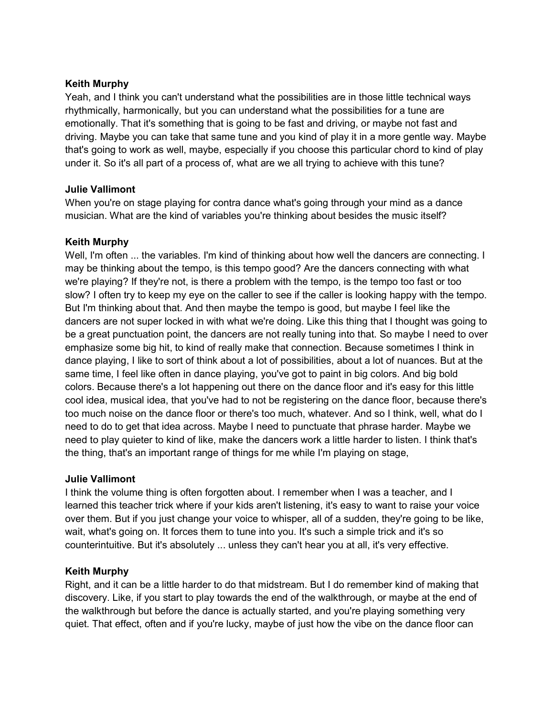#### Keith Murphy

Yeah, and I think you can't understand what the possibilities are in those little technical ways rhythmically, harmonically, but you can understand what the possibilities for a tune are emotionally. That it's something that is going to be fast and driving, or maybe not fast and driving. Maybe you can take that same tune and you kind of play it in a more gentle way. Maybe that's going to work as well, maybe, especially if you choose this particular chord to kind of play under it. So it's all part of a process of, what are we all trying to achieve with this tune?

## Julie Vallimont

When you're on stage playing for contra dance what's going through your mind as a dance musician. What are the kind of variables you're thinking about besides the music itself?

## Keith Murphy

Well, I'm often ... the variables. I'm kind of thinking about how well the dancers are connecting. I may be thinking about the tempo, is this tempo good? Are the dancers connecting with what we're playing? If they're not, is there a problem with the tempo, is the tempo too fast or too slow? I often try to keep my eye on the caller to see if the caller is looking happy with the tempo. But I'm thinking about that. And then maybe the tempo is good, but maybe I feel like the dancers are not super locked in with what we're doing. Like this thing that I thought was going to be a great punctuation point, the dancers are not really tuning into that. So maybe I need to over emphasize some big hit, to kind of really make that connection. Because sometimes I think in dance playing, I like to sort of think about a lot of possibilities, about a lot of nuances. But at the same time, I feel like often in dance playing, you've got to paint in big colors. And big bold colors. Because there's a lot happening out there on the dance floor and it's easy for this little cool idea, musical idea, that you've had to not be registering on the dance floor, because there's too much noise on the dance floor or there's too much, whatever. And so I think, well, what do I need to do to get that idea across. Maybe I need to punctuate that phrase harder. Maybe we need to play quieter to kind of like, make the dancers work a little harder to listen. I think that's the thing, that's an important range of things for me while I'm playing on stage,

#### Julie Vallimont

I think the volume thing is often forgotten about. I remember when I was a teacher, and I learned this teacher trick where if your kids aren't listening, it's easy to want to raise your voice over them. But if you just change your voice to whisper, all of a sudden, they're going to be like, wait, what's going on. It forces them to tune into you. It's such a simple trick and it's so counterintuitive. But it's absolutely ... unless they can't hear you at all, it's very effective.

#### Keith Murphy

Right, and it can be a little harder to do that midstream. But I do remember kind of making that discovery. Like, if you start to play towards the end of the walkthrough, or maybe at the end of the walkthrough but before the dance is actually started, and you're playing something very quiet. That effect, often and if you're lucky, maybe of just how the vibe on the dance floor can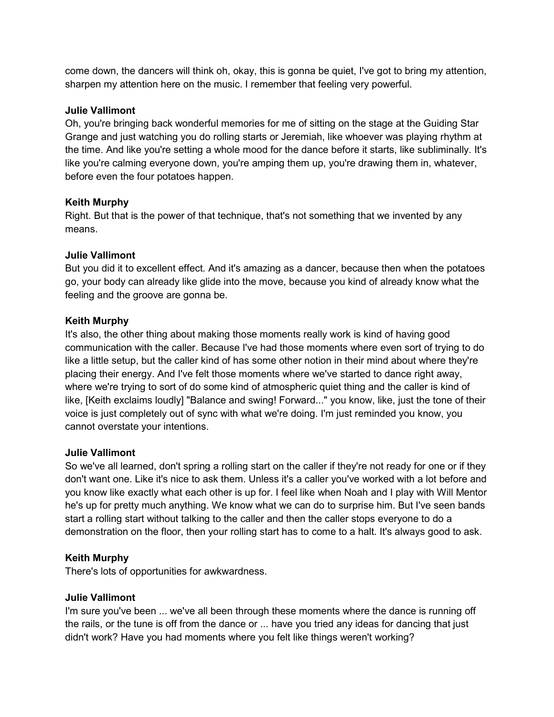come down, the dancers will think oh, okay, this is gonna be quiet, I've got to bring my attention, sharpen my attention here on the music. I remember that feeling very powerful.

#### Julie Vallimont

Oh, you're bringing back wonderful memories for me of sitting on the stage at the Guiding Star Grange and just watching you do rolling starts or Jeremiah, like whoever was playing rhythm at the time. And like you're setting a whole mood for the dance before it starts, like subliminally. It's like you're calming everyone down, you're amping them up, you're drawing them in, whatever, before even the four potatoes happen.

#### Keith Murphy

Right. But that is the power of that technique, that's not something that we invented by any means.

#### Julie Vallimont

But you did it to excellent effect. And it's amazing as a dancer, because then when the potatoes go, your body can already like glide into the move, because you kind of already know what the feeling and the groove are gonna be.

#### Keith Murphy

It's also, the other thing about making those moments really work is kind of having good communication with the caller. Because I've had those moments where even sort of trying to do like a little setup, but the caller kind of has some other notion in their mind about where they're placing their energy. And I've felt those moments where we've started to dance right away, where we're trying to sort of do some kind of atmospheric quiet thing and the caller is kind of like, [Keith exclaims loudly] "Balance and swing! Forward..." you know, like, just the tone of their voice is just completely out of sync with what we're doing. I'm just reminded you know, you cannot overstate your intentions.

#### Julie Vallimont

So we've all learned, don't spring a rolling start on the caller if they're not ready for one or if they don't want one. Like it's nice to ask them. Unless it's a caller you've worked with a lot before and you know like exactly what each other is up for. I feel like when Noah and I play with Will Mentor he's up for pretty much anything. We know what we can do to surprise him. But I've seen bands start a rolling start without talking to the caller and then the caller stops everyone to do a demonstration on the floor, then your rolling start has to come to a halt. It's always good to ask.

#### Keith Murphy

There's lots of opportunities for awkwardness.

#### Julie Vallimont

I'm sure you've been ... we've all been through these moments where the dance is running off the rails, or the tune is off from the dance or ... have you tried any ideas for dancing that just didn't work? Have you had moments where you felt like things weren't working?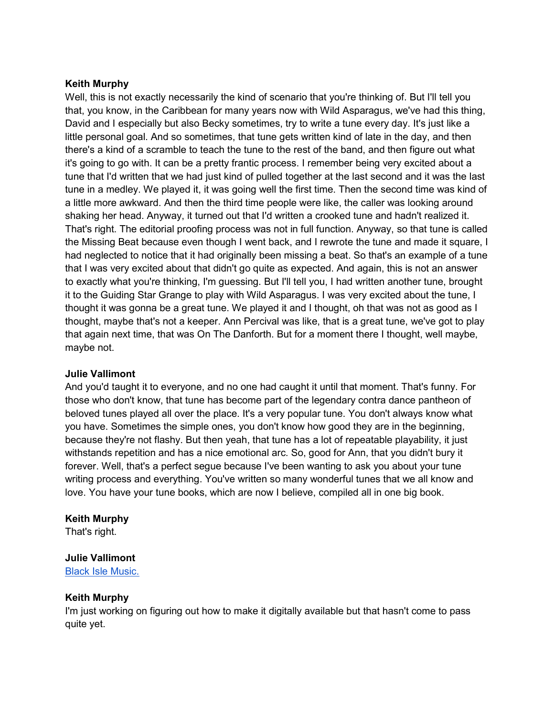#### Keith Murphy

Well, this is not exactly necessarily the kind of scenario that you're thinking of. But I'll tell you that, you know, in the Caribbean for many years now with Wild Asparagus, we've had this thing, David and I especially but also Becky sometimes, try to write a tune every day. It's just like a little personal goal. And so sometimes, that tune gets written kind of late in the day, and then there's a kind of a scramble to teach the tune to the rest of the band, and then figure out what it's going to go with. It can be a pretty frantic process. I remember being very excited about a tune that I'd written that we had just kind of pulled together at the last second and it was the last tune in a medley. We played it, it was going well the first time. Then the second time was kind of a little more awkward. And then the third time people were like, the caller was looking around shaking her head. Anyway, it turned out that I'd written a crooked tune and hadn't realized it. That's right. The editorial proofing process was not in full function. Anyway, so that tune is called the Missing Beat because even though I went back, and I rewrote the tune and made it square, I had neglected to notice that it had originally been missing a beat. So that's an example of a tune that I was very excited about that didn't go quite as expected. And again, this is not an answer to exactly what you're thinking, I'm guessing. But I'll tell you, I had written another tune, brought it to the Guiding Star Grange to play with Wild Asparagus. I was very excited about the tune, I thought it was gonna be a great tune. We played it and I thought, oh that was not as good as I thought, maybe that's not a keeper. Ann Percival was like, that is a great tune, we've got to play that again next time, that was On The Danforth. But for a moment there I thought, well maybe, maybe not.

#### Julie Vallimont

And you'd taught it to everyone, and no one had caught it until that moment. That's funny. For those who don't know, that tune has become part of the legendary contra dance pantheon of beloved tunes played all over the place. It's a very popular tune. You don't always know what you have. Sometimes the simple ones, you don't know how good they are in the beginning, because they're not flashy. But then yeah, that tune has a lot of repeatable playability, it just withstands repetition and has a nice emotional arc. So, good for Ann, that you didn't bury it forever. Well, that's a perfect segue because I've been wanting to ask you about your tune writing process and everything. You've written so many wonderful tunes that we all know and love. You have your tune books, which are now I believe, compiled all in one big book.

#### Keith Murphy

That's right.

#### Julie Vallimont

Black Isle Music.

#### Keith Murphy

I'm just working on figuring out how to make it digitally available but that hasn't come to pass quite yet.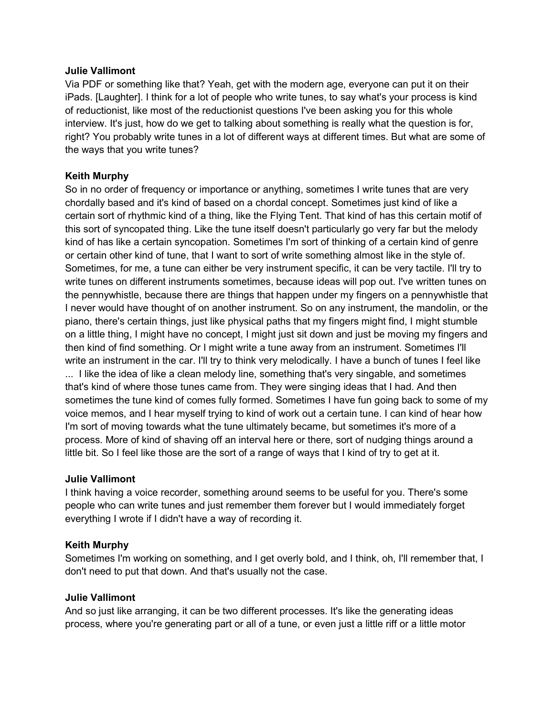#### Julie Vallimont

Via PDF or something like that? Yeah, get with the modern age, everyone can put it on their iPads. [Laughter]. I think for a lot of people who write tunes, to say what's your process is kind of reductionist, like most of the reductionist questions I've been asking you for this whole interview. It's just, how do we get to talking about something is really what the question is for, right? You probably write tunes in a lot of different ways at different times. But what are some of the ways that you write tunes?

## Keith Murphy

So in no order of frequency or importance or anything, sometimes I write tunes that are very chordally based and it's kind of based on a chordal concept. Sometimes just kind of like a certain sort of rhythmic kind of a thing, like the Flying Tent. That kind of has this certain motif of this sort of syncopated thing. Like the tune itself doesn't particularly go very far but the melody kind of has like a certain syncopation. Sometimes I'm sort of thinking of a certain kind of genre or certain other kind of tune, that I want to sort of write something almost like in the style of. Sometimes, for me, a tune can either be very instrument specific, it can be very tactile. I'll try to write tunes on different instruments sometimes, because ideas will pop out. I've written tunes on the pennywhistle, because there are things that happen under my fingers on a pennywhistle that I never would have thought of on another instrument. So on any instrument, the mandolin, or the piano, there's certain things, just like physical paths that my fingers might find, I might stumble on a little thing, I might have no concept, I might just sit down and just be moving my fingers and then kind of find something. Or I might write a tune away from an instrument. Sometimes I'll write an instrument in the car. I'll try to think very melodically. I have a bunch of tunes I feel like ... I like the idea of like a clean melody line, something that's very singable, and sometimes that's kind of where those tunes came from. They were singing ideas that I had. And then sometimes the tune kind of comes fully formed. Sometimes I have fun going back to some of my voice memos, and I hear myself trying to kind of work out a certain tune. I can kind of hear how I'm sort of moving towards what the tune ultimately became, but sometimes it's more of a process. More of kind of shaving off an interval here or there, sort of nudging things around a little bit. So I feel like those are the sort of a range of ways that I kind of try to get at it.

#### Julie Vallimont

I think having a voice recorder, something around seems to be useful for you. There's some people who can write tunes and just remember them forever but I would immediately forget everything I wrote if I didn't have a way of recording it.

#### Keith Murphy

Sometimes I'm working on something, and I get overly bold, and I think, oh, I'll remember that, I don't need to put that down. And that's usually not the case.

#### Julie Vallimont

And so just like arranging, it can be two different processes. It's like the generating ideas process, where you're generating part or all of a tune, or even just a little riff or a little motor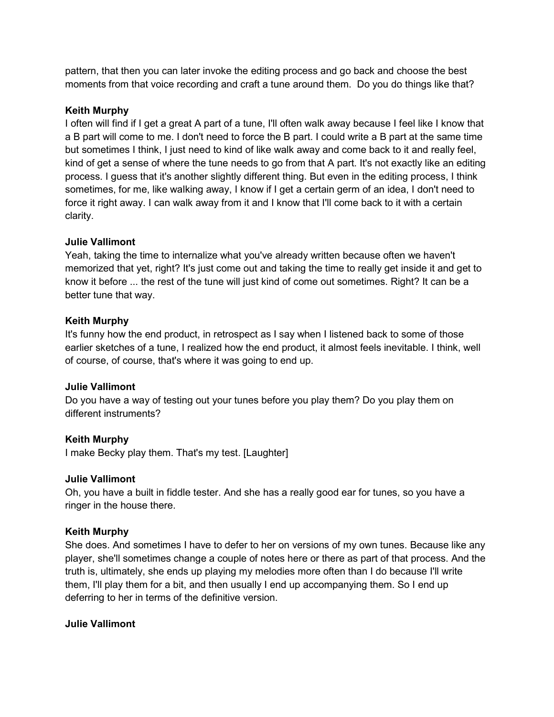pattern, that then you can later invoke the editing process and go back and choose the best moments from that voice recording and craft a tune around them. Do you do things like that?

#### Keith Murphy

I often will find if I get a great A part of a tune, I'll often walk away because I feel like I know that a B part will come to me. I don't need to force the B part. I could write a B part at the same time but sometimes I think, I just need to kind of like walk away and come back to it and really feel, kind of get a sense of where the tune needs to go from that A part. It's not exactly like an editing process. I guess that it's another slightly different thing. But even in the editing process, I think sometimes, for me, like walking away, I know if I get a certain germ of an idea, I don't need to force it right away. I can walk away from it and I know that I'll come back to it with a certain clarity.

#### Julie Vallimont

Yeah, taking the time to internalize what you've already written because often we haven't memorized that yet, right? It's just come out and taking the time to really get inside it and get to know it before ... the rest of the tune will just kind of come out sometimes. Right? It can be a better tune that way.

## Keith Murphy

It's funny how the end product, in retrospect as I say when I listened back to some of those earlier sketches of a tune, I realized how the end product, it almost feels inevitable. I think, well of course, of course, that's where it was going to end up.

## Julie Vallimont

Do you have a way of testing out your tunes before you play them? Do you play them on different instruments?

## Keith Murphy

I make Becky play them. That's my test. [Laughter]

#### Julie Vallimont

Oh, you have a built in fiddle tester. And she has a really good ear for tunes, so you have a ringer in the house there.

#### Keith Murphy

She does. And sometimes I have to defer to her on versions of my own tunes. Because like any player, she'll sometimes change a couple of notes here or there as part of that process. And the truth is, ultimately, she ends up playing my melodies more often than I do because I'll write them, I'll play them for a bit, and then usually I end up accompanying them. So I end up deferring to her in terms of the definitive version.

#### Julie Vallimont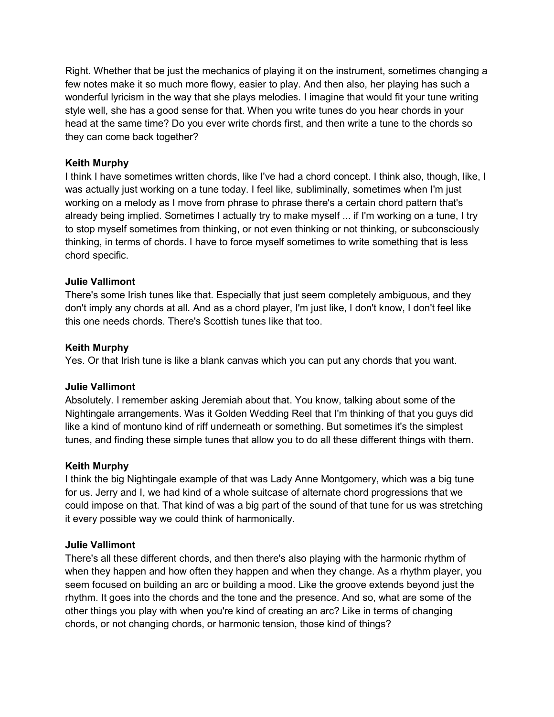Right. Whether that be just the mechanics of playing it on the instrument, sometimes changing a few notes make it so much more flowy, easier to play. And then also, her playing has such a wonderful lyricism in the way that she plays melodies. I imagine that would fit your tune writing style well, she has a good sense for that. When you write tunes do you hear chords in your head at the same time? Do you ever write chords first, and then write a tune to the chords so they can come back together?

## Keith Murphy

I think I have sometimes written chords, like I've had a chord concept. I think also, though, like, I was actually just working on a tune today. I feel like, subliminally, sometimes when I'm just working on a melody as I move from phrase to phrase there's a certain chord pattern that's already being implied. Sometimes I actually try to make myself ... if I'm working on a tune, I try to stop myself sometimes from thinking, or not even thinking or not thinking, or subconsciously thinking, in terms of chords. I have to force myself sometimes to write something that is less chord specific.

## Julie Vallimont

There's some Irish tunes like that. Especially that just seem completely ambiguous, and they don't imply any chords at all. And as a chord player, I'm just like, I don't know, I don't feel like this one needs chords. There's Scottish tunes like that too.

#### Keith Murphy

Yes. Or that Irish tune is like a blank canvas which you can put any chords that you want.

#### Julie Vallimont

Absolutely. I remember asking Jeremiah about that. You know, talking about some of the Nightingale arrangements. Was it Golden Wedding Reel that I'm thinking of that you guys did like a kind of montuno kind of riff underneath or something. But sometimes it's the simplest tunes, and finding these simple tunes that allow you to do all these different things with them.

#### Keith Murphy

I think the big Nightingale example of that was Lady Anne Montgomery, which was a big tune for us. Jerry and I, we had kind of a whole suitcase of alternate chord progressions that we could impose on that. That kind of was a big part of the sound of that tune for us was stretching it every possible way we could think of harmonically.

#### Julie Vallimont

There's all these different chords, and then there's also playing with the harmonic rhythm of when they happen and how often they happen and when they change. As a rhythm player, you seem focused on building an arc or building a mood. Like the groove extends beyond just the rhythm. It goes into the chords and the tone and the presence. And so, what are some of the other things you play with when you're kind of creating an arc? Like in terms of changing chords, or not changing chords, or harmonic tension, those kind of things?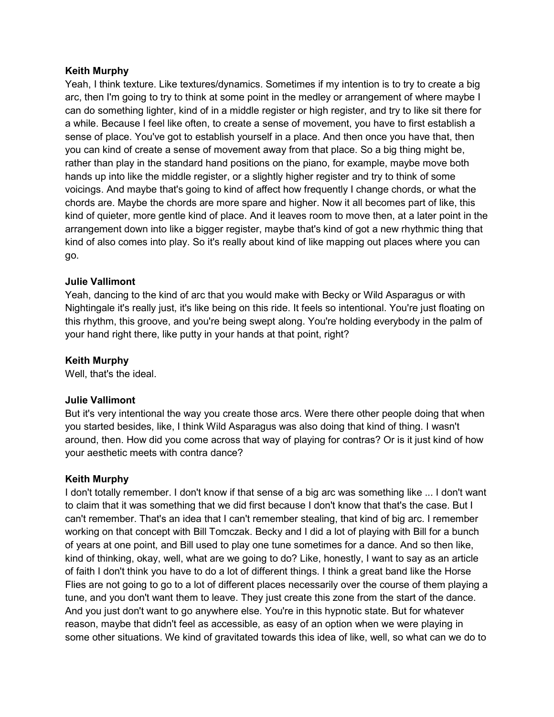#### Keith Murphy

Yeah, I think texture. Like textures/dynamics. Sometimes if my intention is to try to create a big arc, then I'm going to try to think at some point in the medley or arrangement of where maybe I can do something lighter, kind of in a middle register or high register, and try to like sit there for a while. Because I feel like often, to create a sense of movement, you have to first establish a sense of place. You've got to establish yourself in a place. And then once you have that, then you can kind of create a sense of movement away from that place. So a big thing might be, rather than play in the standard hand positions on the piano, for example, maybe move both hands up into like the middle register, or a slightly higher register and try to think of some voicings. And maybe that's going to kind of affect how frequently I change chords, or what the chords are. Maybe the chords are more spare and higher. Now it all becomes part of like, this kind of quieter, more gentle kind of place. And it leaves room to move then, at a later point in the arrangement down into like a bigger register, maybe that's kind of got a new rhythmic thing that kind of also comes into play. So it's really about kind of like mapping out places where you can go.

#### Julie Vallimont

Yeah, dancing to the kind of arc that you would make with Becky or Wild Asparagus or with Nightingale it's really just, it's like being on this ride. It feels so intentional. You're just floating on this rhythm, this groove, and you're being swept along. You're holding everybody in the palm of your hand right there, like putty in your hands at that point, right?

#### Keith Murphy

Well, that's the ideal.

#### Julie Vallimont

But it's very intentional the way you create those arcs. Were there other people doing that when you started besides, like, I think Wild Asparagus was also doing that kind of thing. I wasn't around, then. How did you come across that way of playing for contras? Or is it just kind of how your aesthetic meets with contra dance?

#### Keith Murphy

I don't totally remember. I don't know if that sense of a big arc was something like ... I don't want to claim that it was something that we did first because I don't know that that's the case. But I can't remember. That's an idea that I can't remember stealing, that kind of big arc. I remember working on that concept with Bill Tomczak. Becky and I did a lot of playing with Bill for a bunch of years at one point, and Bill used to play one tune sometimes for a dance. And so then like, kind of thinking, okay, well, what are we going to do? Like, honestly, I want to say as an article of faith I don't think you have to do a lot of different things. I think a great band like the Horse Flies are not going to go to a lot of different places necessarily over the course of them playing a tune, and you don't want them to leave. They just create this zone from the start of the dance. And you just don't want to go anywhere else. You're in this hypnotic state. But for whatever reason, maybe that didn't feel as accessible, as easy of an option when we were playing in some other situations. We kind of gravitated towards this idea of like, well, so what can we do to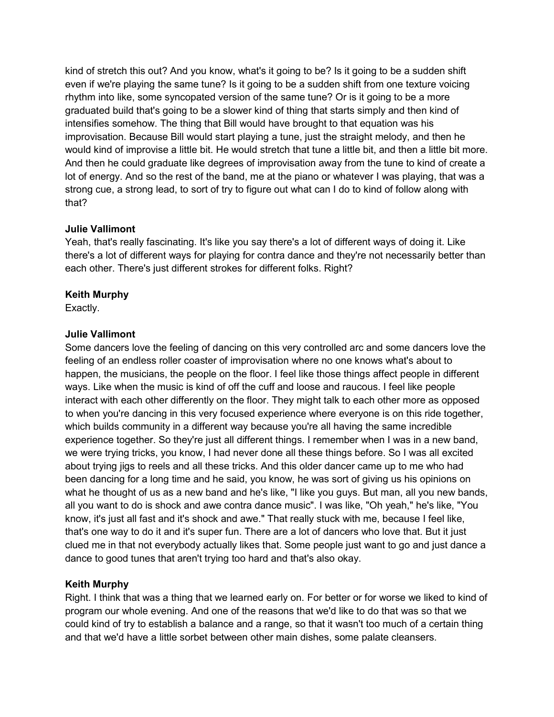kind of stretch this out? And you know, what's it going to be? Is it going to be a sudden shift even if we're playing the same tune? Is it going to be a sudden shift from one texture voicing rhythm into like, some syncopated version of the same tune? Or is it going to be a more graduated build that's going to be a slower kind of thing that starts simply and then kind of intensifies somehow. The thing that Bill would have brought to that equation was his improvisation. Because Bill would start playing a tune, just the straight melody, and then he would kind of improvise a little bit. He would stretch that tune a little bit, and then a little bit more. And then he could graduate like degrees of improvisation away from the tune to kind of create a lot of energy. And so the rest of the band, me at the piano or whatever I was playing, that was a strong cue, a strong lead, to sort of try to figure out what can I do to kind of follow along with that?

#### Julie Vallimont

Yeah, that's really fascinating. It's like you say there's a lot of different ways of doing it. Like there's a lot of different ways for playing for contra dance and they're not necessarily better than each other. There's just different strokes for different folks. Right?

## Keith Murphy

Exactly.

## Julie Vallimont

Some dancers love the feeling of dancing on this very controlled arc and some dancers love the feeling of an endless roller coaster of improvisation where no one knows what's about to happen, the musicians, the people on the floor. I feel like those things affect people in different ways. Like when the music is kind of off the cuff and loose and raucous. I feel like people interact with each other differently on the floor. They might talk to each other more as opposed to when you're dancing in this very focused experience where everyone is on this ride together, which builds community in a different way because you're all having the same incredible experience together. So they're just all different things. I remember when I was in a new band, we were trying tricks, you know, I had never done all these things before. So I was all excited about trying jigs to reels and all these tricks. And this older dancer came up to me who had been dancing for a long time and he said, you know, he was sort of giving us his opinions on what he thought of us as a new band and he's like, "I like you guys. But man, all you new bands, all you want to do is shock and awe contra dance music". I was like, "Oh yeah," he's like, "You know, it's just all fast and it's shock and awe." That really stuck with me, because I feel like, that's one way to do it and it's super fun. There are a lot of dancers who love that. But it just clued me in that not everybody actually likes that. Some people just want to go and just dance a dance to good tunes that aren't trying too hard and that's also okay.

## Keith Murphy

Right. I think that was a thing that we learned early on. For better or for worse we liked to kind of program our whole evening. And one of the reasons that we'd like to do that was so that we could kind of try to establish a balance and a range, so that it wasn't too much of a certain thing and that we'd have a little sorbet between other main dishes, some palate cleansers.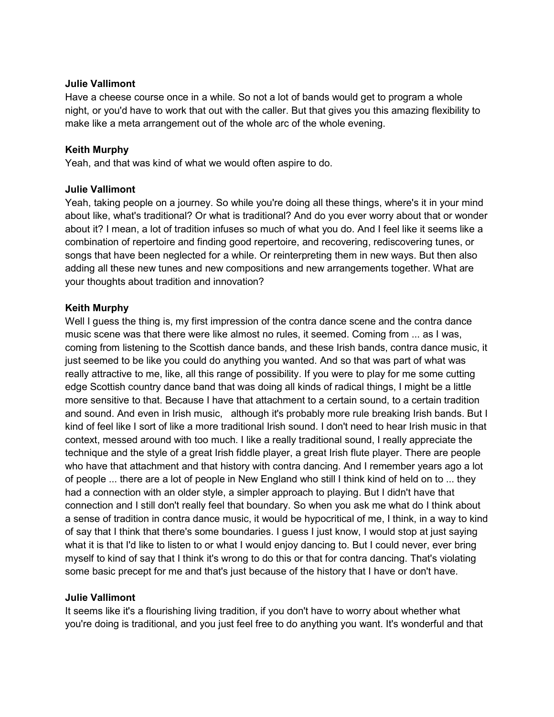#### Julie Vallimont

Have a cheese course once in a while. So not a lot of bands would get to program a whole night, or you'd have to work that out with the caller. But that gives you this amazing flexibility to make like a meta arrangement out of the whole arc of the whole evening.

#### Keith Murphy

Yeah, and that was kind of what we would often aspire to do.

#### Julie Vallimont

Yeah, taking people on a journey. So while you're doing all these things, where's it in your mind about like, what's traditional? Or what is traditional? And do you ever worry about that or wonder about it? I mean, a lot of tradition infuses so much of what you do. And I feel like it seems like a combination of repertoire and finding good repertoire, and recovering, rediscovering tunes, or songs that have been neglected for a while. Or reinterpreting them in new ways. But then also adding all these new tunes and new compositions and new arrangements together. What are your thoughts about tradition and innovation?

#### Keith Murphy

Well I guess the thing is, my first impression of the contra dance scene and the contra dance music scene was that there were like almost no rules, it seemed. Coming from ... as I was, coming from listening to the Scottish dance bands, and these Irish bands, contra dance music, it just seemed to be like you could do anything you wanted. And so that was part of what was really attractive to me, like, all this range of possibility. If you were to play for me some cutting edge Scottish country dance band that was doing all kinds of radical things, I might be a little more sensitive to that. Because I have that attachment to a certain sound, to a certain tradition and sound. And even in Irish music, although it's probably more rule breaking Irish bands. But I kind of feel like I sort of like a more traditional Irish sound. I don't need to hear Irish music in that context, messed around with too much. I like a really traditional sound, I really appreciate the technique and the style of a great Irish fiddle player, a great Irish flute player. There are people who have that attachment and that history with contra dancing. And I remember years ago a lot of people ... there are a lot of people in New England who still I think kind of held on to ... they had a connection with an older style, a simpler approach to playing. But I didn't have that connection and I still don't really feel that boundary. So when you ask me what do I think about a sense of tradition in contra dance music, it would be hypocritical of me, I think, in a way to kind of say that I think that there's some boundaries. I guess I just know, I would stop at just saying what it is that I'd like to listen to or what I would enjoy dancing to. But I could never, ever bring myself to kind of say that I think it's wrong to do this or that for contra dancing. That's violating some basic precept for me and that's just because of the history that I have or don't have.

## Julie Vallimont

It seems like it's a flourishing living tradition, if you don't have to worry about whether what you're doing is traditional, and you just feel free to do anything you want. It's wonderful and that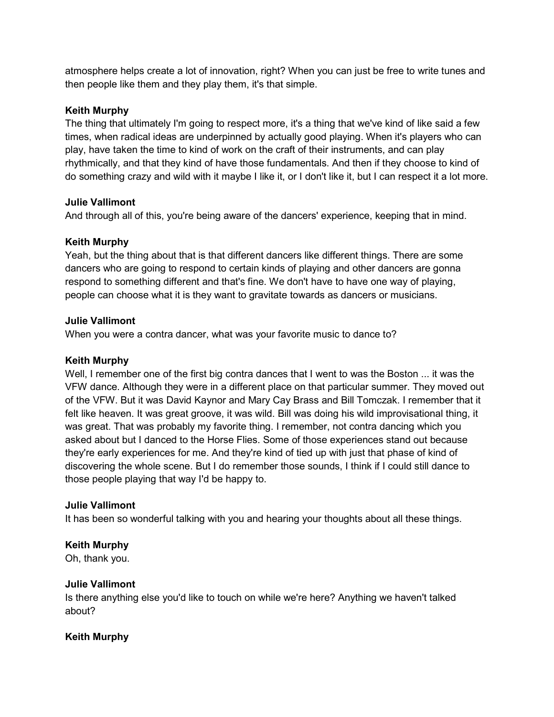atmosphere helps create a lot of innovation, right? When you can just be free to write tunes and then people like them and they play them, it's that simple.

#### Keith Murphy

The thing that ultimately I'm going to respect more, it's a thing that we've kind of like said a few times, when radical ideas are underpinned by actually good playing. When it's players who can play, have taken the time to kind of work on the craft of their instruments, and can play rhythmically, and that they kind of have those fundamentals. And then if they choose to kind of do something crazy and wild with it maybe I like it, or I don't like it, but I can respect it a lot more.

#### Julie Vallimont

And through all of this, you're being aware of the dancers' experience, keeping that in mind.

## Keith Murphy

Yeah, but the thing about that is that different dancers like different things. There are some dancers who are going to respond to certain kinds of playing and other dancers are gonna respond to something different and that's fine. We don't have to have one way of playing, people can choose what it is they want to gravitate towards as dancers or musicians.

## Julie Vallimont

When you were a contra dancer, what was your favorite music to dance to?

#### Keith Murphy

Well, I remember one of the first big contra dances that I went to was the Boston ... it was the VFW dance. Although they were in a different place on that particular summer. They moved out of the VFW. But it was David Kaynor and Mary Cay Brass and Bill Tomczak. I remember that it felt like heaven. It was great groove, it was wild. Bill was doing his wild improvisational thing, it was great. That was probably my favorite thing. I remember, not contra dancing which you asked about but I danced to the Horse Flies. Some of those experiences stand out because they're early experiences for me. And they're kind of tied up with just that phase of kind of discovering the whole scene. But I do remember those sounds, I think if I could still dance to those people playing that way I'd be happy to.

#### Julie Vallimont

It has been so wonderful talking with you and hearing your thoughts about all these things.

## Keith Murphy

Oh, thank you.

#### Julie Vallimont

Is there anything else you'd like to touch on while we're here? Anything we haven't talked about?

## Keith Murphy